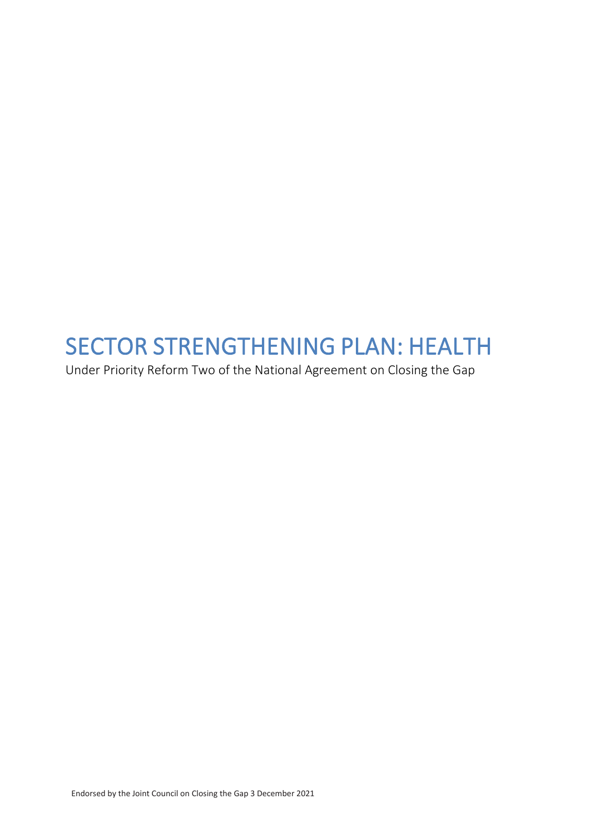# SECTOR STRENGTHENING PLAN: HEALTH<br>Under Priority Reform Two of the National Agreement on Closing the Gap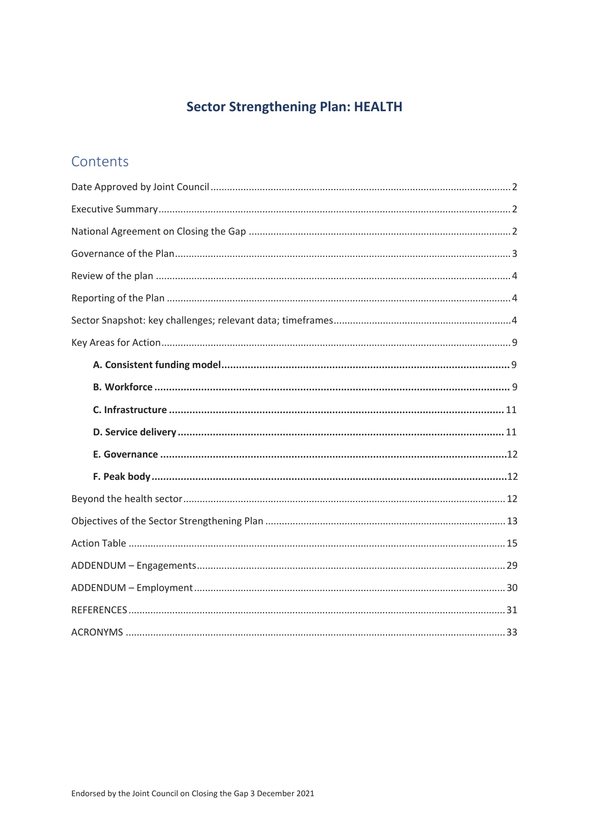# **Sector Strengthening Plan: HEALTH**

## Contents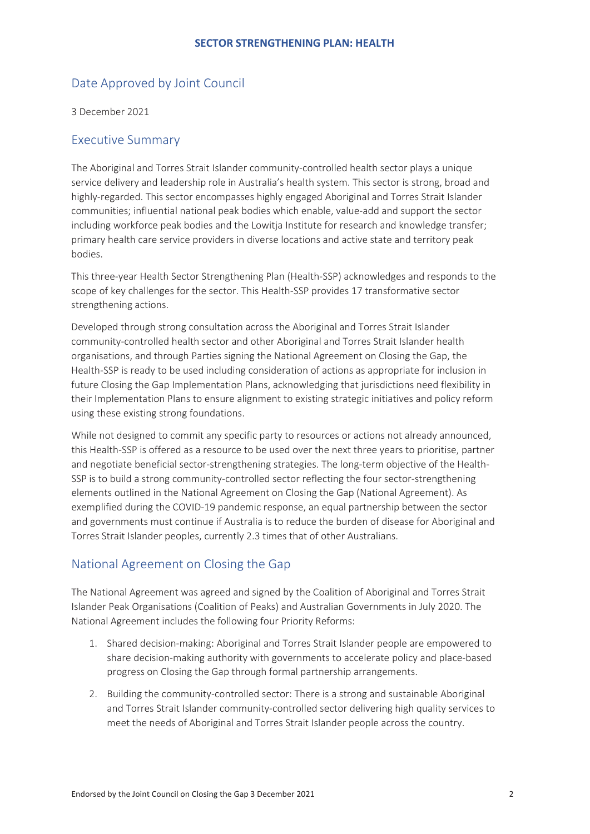## <span id="page-2-0"></span>Date Approved by Joint Council

3 December 2021

## <span id="page-2-1"></span>Executive Summary

The Aboriginal and Torres Strait Islander community-controlled health sector plays a unique service delivery and leadership role in Australia's health system. This sector is strong, broad and highly-regarded. This sector encompasses highly engaged Aboriginal and Torres Strait Islander communities; influential national peak bodies which enable, value-add and support the sector including workforce peak bodies and the Lowitja Institute for research and knowledge transfer; primary health care service providers in diverse locations and active state and territory peak bodies.

This three-year Health Sector Strengthening Plan (Health-SSP) acknowledges and responds to the scope of key challenges for the sector. This Health-SSP provides 17 transformative sector strengthening actions.

Developed through strong consultation across the Aboriginal and Torres Strait Islander community-controlled health sector and other Aboriginal and Torres Strait Islander health organisations, and through Parties signing the National Agreement on Closing the Gap, the Health-SSP is ready to be used including consideration of actions as appropriate for inclusion in future Closing the Gap Implementation Plans, acknowledging that jurisdictions need flexibility in their Implementation Plans to ensure alignment to existing strategic initiatives and policy reform using these existing strong foundations.

While not designed to commit any specific party to resources or actions not already announced, this Health-SSP is offered as a resource to be used over the next three years to prioritise, partner and negotiate beneficial sector-strengthening strategies. The long-term objective of the Health-SSP is to build a strong community-controlled sector reflecting the four sector-strengthening elements outlined in the National Agreement on Closing the Gap (National Agreement). As exemplified during the COVID-19 pandemic response, an equal partnership between the sector and governments must continue if Australia is to reduce the burden of disease for Aboriginal and Torres Strait Islander peoples, currently 2.3 times that of other Australians.

## <span id="page-2-2"></span>National Agreement on Closing the Gap

The National Agreement was agreed and signed by the Coalition of Aboriginal and Torres Strait Islander Peak Organisations (Coalition of Peaks) and Australian Governments in July 2020. The National Agreement includes the following four Priority Reforms:

- 1. Shared decision-making: Aboriginal and Torres Strait Islander people are empowered to share decision-making authority with governments to accelerate policy and place-based progress on Closing the Gap through formal partnership arrangements.
- 2. Building the community-controlled sector: There is a strong and sustainable Aboriginal and Torres Strait Islander community-controlled sector delivering high quality services to meet the needs of Aboriginal and Torres Strait Islander people across the country.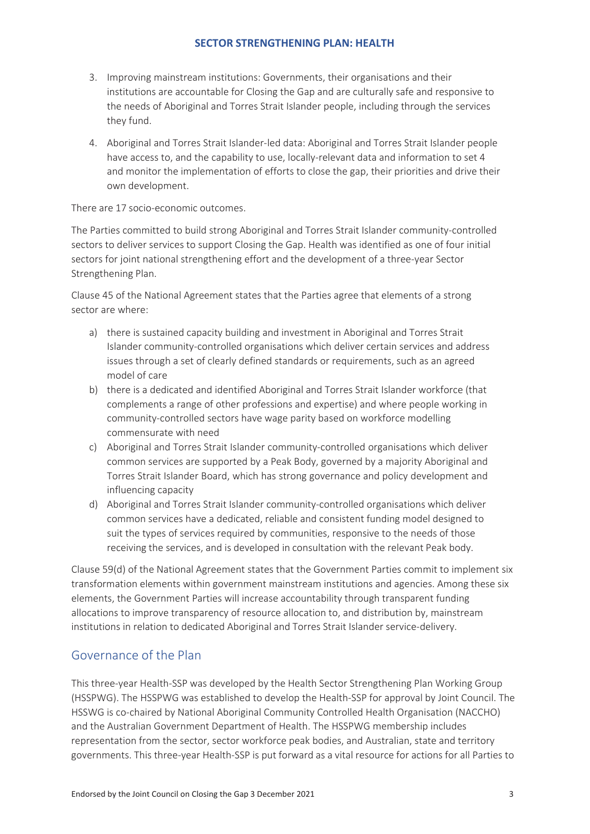- 3. Improving mainstream institutions: Governments, their organisations and their institutions are accountable for Closing the Gap and are culturally safe and responsive to the needs of Aboriginal and Torres Strait Islander people, including through the services they fund.
- 4. Aboriginal and Torres Strait Islander-led data: Aboriginal and Torres Strait Islander people have access to, and the capability to use, locally-relevant data and information to set 4 and monitor the implementation of efforts to close the gap, their priorities and drive their own development.

There are 17 socio-economic outcomes.

The Parties committed to build strong Aboriginal and Torres Strait Islander community-controlled sectors to deliver services to support Closing the Gap. Health was identified as one of four initial sectors for joint national strengthening effort and the development of a three-year Sector Strengthening Plan.

Clause 45 of the National Agreement states that the Parties agree that elements of a strong sector are where:

- a) there is sustained capacity building and investment in Aboriginal and Torres Strait Islander community-controlled organisations which deliver certain services and address issues through a set of clearly defined standards or requirements, such as an agreed model of care
- b) there is a dedicated and identified Aboriginal and Torres Strait Islander workforce (that complements a range of other professions and expertise) and where people working in community-controlled sectors have wage parity based on workforce modelling commensurate with need
- c) Aboriginal and Torres Strait Islander community-controlled organisations which deliver common services are supported by a Peak Body, governed by a majority Aboriginal and Torres Strait Islander Board, which has strong governance and policy development and influencing capacity
- d) Aboriginal and Torres Strait Islander community-controlled organisations which deliver common services have a dedicated, reliable and consistent funding model designed to suit the types of services required by communities, responsive to the needs of those receiving the services, and is developed in consultation with the relevant Peak body.

Clause 59(d) of the National Agreement states that the Government Parties commit to implement six transformation elements within government mainstream institutions and agencies. Among these six elements, the Government Parties will increase accountability through transparent funding allocations to improve transparency of resource allocation to, and distribution by, mainstream institutions in relation to dedicated Aboriginal and Torres Strait Islander service-delivery.

## <span id="page-3-0"></span>Governance of the Plan

This three-year Health-SSP was developed by the Health Sector Strengthening Plan Working Group (HSSPWG). The HSSPWG was established to develop the Health-SSP for approval by Joint Council. The HSSWG is co-chaired by National Aboriginal Community Controlled Health Organisation (NACCHO) and the Australian Government Department of Health. The HSSPWG membership includes representation from the sector, sector workforce peak bodies, and Australian, state and territory governments. This three-year Health-SSP is put forward as a vital resource for actions for all Parties to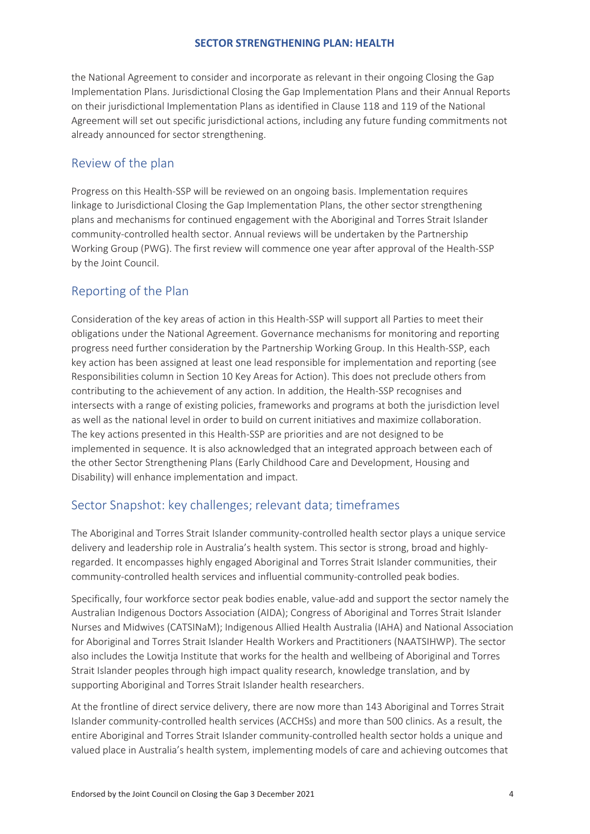the National Agreement to consider and incorporate as relevant in their ongoing Closing the Gap Implementation Plans. Jurisdictional Closing the Gap Implementation Plans and their Annual Reports on their jurisdictional Implementation Plans as identified in Clause 118 and 119 of the National Agreement will set out specific jurisdictional actions, including any future funding commitments not already announced for sector strengthening.

## <span id="page-4-0"></span>Review of the plan

Progress on this Health-SSP will be reviewed on an ongoing basis. Implementation requires linkage to Jurisdictional Closing the Gap Implementation Plans, the other sector strengthening plans and mechanisms for continued engagement with the Aboriginal and Torres Strait Islander community-controlled health sector. Annual reviews will be undertaken by the Partnership Working Group (PWG). The first review will commence one year after approval of the Health-SSP by the Joint Council.

## <span id="page-4-1"></span>Reporting of the Plan

Consideration of the key areas of action in this Health-SSP will support all Parties to meet their obligations under the National Agreement. Governance mechanisms for monitoring and reporting progress need further consideration by the Partnership Working Group. In this Health-SSP, each key action has been assigned at least one lead responsible for implementation and reporting (see Responsibilities column in Section 10 Key Areas for Action). This does not preclude others from contributing to the achievement of any action. In addition, the Health-SSP recognises and intersects with a range of existing policies, frameworks and programs at both the jurisdiction level as well as the national level in order to build on current initiatives and maximize collaboration. The key actions presented in this Health-SSP are priorities and are not designed to be implemented in sequence. It is also acknowledged that an integrated approach between each of the other Sector Strengthening Plans (Early Childhood Care and Development, Housing and Disability) will enhance implementation and impact.

## <span id="page-4-2"></span>Sector Snapshot: key challenges; relevant data; timeframes

The Aboriginal and Torres Strait Islander community-controlled health sector plays a unique service delivery and leadership role in Australia's health system. This sector is strong, broad and highlyregarded. It encompasses highly engaged Aboriginal and Torres Strait Islander communities, their community-controlled health services and influential community-controlled peak bodies.

Specifically, four workforce sector peak bodies enable, value-add and support the sector namely the Australian Indigenous Doctors Association (AIDA); Congress of Aboriginal and Torres Strait Islander Nurses and Midwives (CATSINaM); Indigenous Allied Health Australia (IAHA) and National Association for Aboriginal and Torres Strait Islander Health Workers and Practitioners (NAATSIHWP). The sector also includes the Lowitja Institute that works for the health and wellbeing of Aboriginal and Torres Strait Islander peoples through high impact quality research, knowledge translation, and by supporting Aboriginal and Torres Strait Islander health researchers.

At the frontline of direct service delivery, there are now more than 143 Aboriginal and Torres Strait Islander community-controlled health services (ACCHSs) and more than 500 clinics. As a result, the entire Aboriginal and Torres Strait Islander community-controlled health sector holds a unique and valued place in Australia's health system, implementing models of care and achieving outcomes that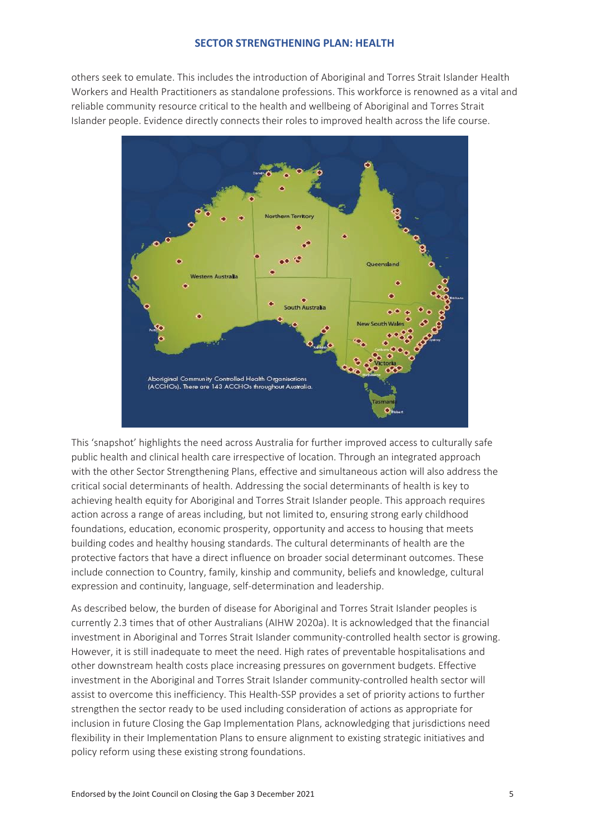others seek to emulate. This includes the introduction of Aboriginal and Torres Strait Islander Health Workers and Health Practitioners as standalone professions. This workforce is renowned as a vital and reliable community resource critical to the health and wellbeing of Aboriginal and Torres Strait Islander people. Evidence directly connects their roles to improved health across the life course.



This 'snapshot' highlights the need across Australia for further improved access to culturally safe public health and clinical health care irrespective of location. Through an integrated approach with the other Sector Strengthening Plans, effective and simultaneous action will also address the critical social determinants of health. Addressing the social determinants of health is key to achieving health equity for Aboriginal and Torres Strait Islander people. This approach requires action across a range of areas including, but not limited to, ensuring strong early childhood foundations, education, economic prosperity, opportunity and access to housing that meets building codes and healthy housing standards. The cultural determinants of health are the protective factors that have a direct influence on broader social determinant outcomes. These include connection to Country, family, kinship and community, beliefs and knowledge, cultural expression and continuity, language, self-determination and leadership.

As described below, the burden of disease for Aboriginal and Torres Strait Islander peoples is currently 2.3 times that of other Australians (AIHW 2020a). It is acknowledged that the financial investment in Aboriginal and Torres Strait Islander community-controlled health sector is growing. However, it is still inadequate to meet the need. High rates of preventable hospitalisations and other downstream health costs place increasing pressures on government budgets. Effective investment in the Aboriginal and Torres Strait Islander community-controlled health sector will assist to overcome this inefficiency. This Health-SSP provides a set of priority actions to further strengthen the sector ready to be used including consideration of actions as appropriate for inclusion in future Closing the Gap Implementation Plans, acknowledging that jurisdictions need flexibility in their Implementation Plans to ensure alignment to existing strategic initiatives and policy reform using these existing strong foundations.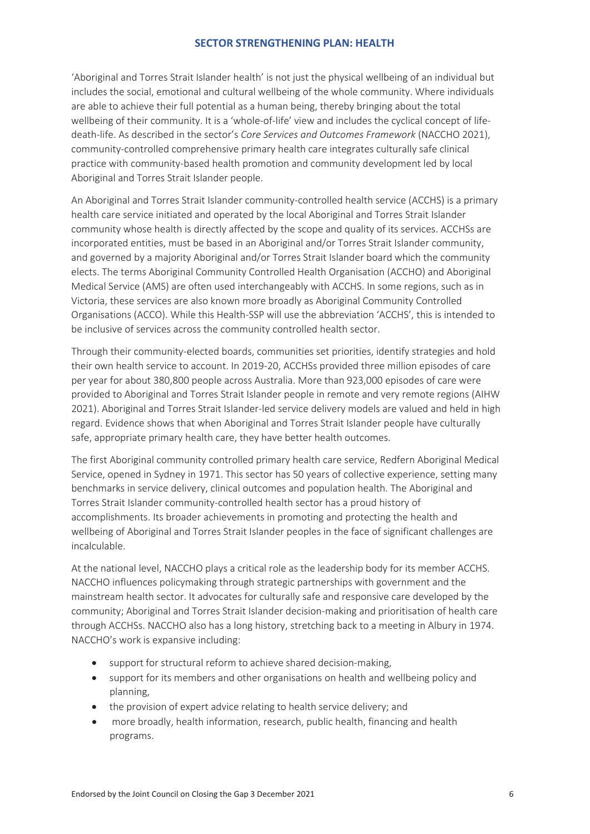'Aboriginal and Torres Strait Islander health' is not just the physical wellbeing of an individual but includes the social, emotional and cultural wellbeing of the whole community. Where individuals are able to achieve their full potential as a human being, thereby bringing about the total wellbeing of their community. It is a 'whole-of-life' view and includes the cyclical concept of lifedeath-life. As described in the sector's *Core Services and Outcomes Framework* (NACCHO 2021), community-controlled comprehensive primary health care integrates culturally safe clinical practice with community-based health promotion and community development led by local Aboriginal and Torres Strait Islander people.

An Aboriginal and Torres Strait Islander community-controlled health service (ACCHS) is a primary health care service initiated and operated by the local Aboriginal and Torres Strait Islander community whose health is directly affected by the scope and quality of its services. ACCHSs are incorporated entities, must be based in an Aboriginal and/or Torres Strait Islander community, and governed by a majority Aboriginal and/or Torres Strait Islander board which the community elects. The terms Aboriginal Community Controlled Health Organisation (ACCHO) and Aboriginal Medical Service (AMS) are often used interchangeably with ACCHS. In some regions, such as in Victoria, these services are also known more broadly as Aboriginal Community Controlled Organisations (ACCO). While this Health-SSP will use the abbreviation 'ACCHS', this is intended to be inclusive of services across the community controlled health sector.

Through their community-elected boards, communities set priorities, identify strategies and hold their own health service to account. In 2019-20, ACCHSs provided three million episodes of care per year for about 380,800 people across Australia. More than 923,000 episodes of care were provided to Aboriginal and Torres Strait Islander people in remote and very remote regions (AIHW 2021). Aboriginal and Torres Strait Islander-led service delivery models are valued and held in high regard. Evidence shows that when Aboriginal and Torres Strait Islander people have culturally safe, appropriate primary health care, they have better health outcomes.

The first Aboriginal community controlled primary health care service, Redfern Aboriginal Medical Service, opened in Sydney in 1971. This sector has 50 years of collective experience, setting many benchmarks in service delivery, clinical outcomes and population health. The Aboriginal and Torres Strait Islander community-controlled health sector has a proud history of accomplishments. Its broader achievements in promoting and protecting the health and wellbeing of Aboriginal and Torres Strait Islander peoples in the face of significant challenges are incalculable.

At the national level, NACCHO plays a critical role as the leadership body for its member ACCHS. NACCHO influences policymaking through strategic partnerships with government and the mainstream health sector. It advocates for culturally safe and responsive care developed by the community; Aboriginal and Torres Strait Islander decision-making and prioritisation of health care through ACCHSs. NACCHO also has a long history, stretching back to a meeting in Albury in 1974. NACCHO's work is expansive including:

- support for structural reform to achieve shared decision-making,
- support for its members and other organisations on health and wellbeing policy and planning,
- the provision of expert advice relating to health service delivery; and
- more broadly, health information, research, public health, financing and health programs.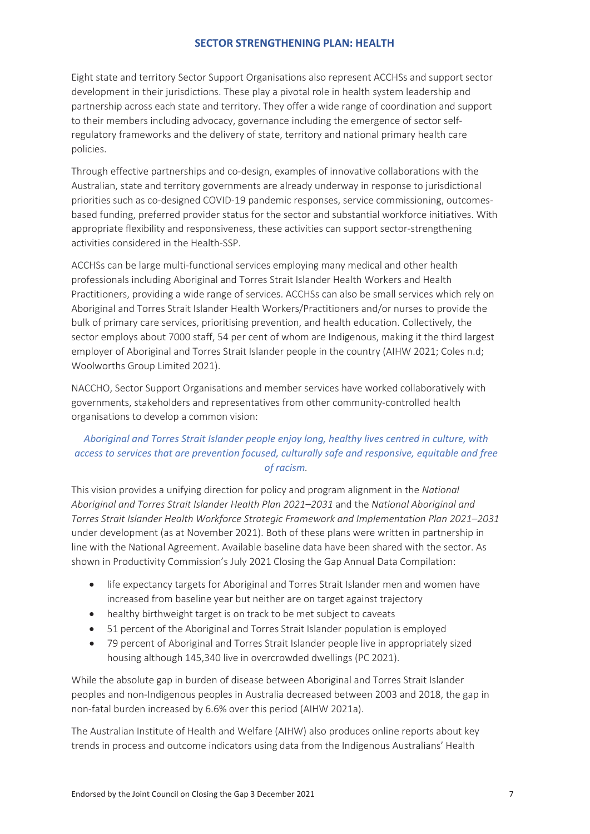Eight state and territory Sector Support Organisations also represent ACCHSs and support sector development in their jurisdictions. These play a pivotal role in health system leadership and partnership across each state and territory. They offer a wide range of coordination and support to their members including advocacy, governance including the emergence of sector selfregulatory frameworks and the delivery of state, territory and national primary health care policies.

Through effective partnerships and co-design, examples of innovative collaborations with the Australian, state and territory governments are already underway in response to jurisdictional priorities such as co-designed COVID-19 pandemic responses, service commissioning, outcomesbased funding, preferred provider status for the sector and substantial workforce initiatives. With appropriate flexibility and responsiveness, these activities can support sector-strengthening activities considered in the Health-SSP.

ACCHSs can be large multi-functional services employing many medical and other health professionals including Aboriginal and Torres Strait Islander Health Workers and Health Practitioners, providing a wide range of services. ACCHSs can also be small services which rely on Aboriginal and Torres Strait Islander Health Workers/Practitioners and/or nurses to provide the bulk of primary care services, prioritising prevention, and health education. Collectively, the sector employs about 7000 staff, 54 per cent of whom are Indigenous, making it the third largest employer of Aboriginal and Torres Strait Islander people in the country (AIHW 2021; Coles n.d; Woolworths Group Limited 2021).

NACCHO, Sector Support Organisations and member services have worked collaboratively with governments, stakeholders and representatives from other community-controlled health organisations to develop a common vision:

## *Aboriginal and Torres Strait Islander people enjoy long, healthy lives centred in culture, with access to services that are prevention focused, culturally safe and responsive, equitable and free of racism.*

This vision provides a unifying direction for policy and program alignment in the *National Aboriginal and Torres Strait Islander Health Plan 2021–2031* and the *National Aboriginal and Torres Strait Islander Health Workforce Strategic Framework and Implementation Plan 2021–2031* under development (as at November 2021). Both of these plans were written in partnership in line with the National Agreement. Available baseline data have been shared with the sector. As shown in Productivity Commission's July 2021 Closing the Gap Annual Data Compilation:

- life expectancy targets for Aboriginal and Torres Strait Islander men and women have increased from baseline year but neither are on target against trajectory
- healthy birthweight target is on track to be met subject to caveats
- 51 percent of the Aboriginal and Torres Strait Islander population is employed
- 79 percent of Aboriginal and Torres Strait Islander people live in appropriately sized housing although 145,340 live in overcrowded dwellings (PC 2021).

While the absolute gap in burden of disease between Aboriginal and Torres Strait Islander peoples and non-Indigenous peoples in Australia decreased between 2003 and 2018, the gap in non-fatal burden increased by 6.6% over this period (AIHW 2021a).

The Australian Institute of Health and Welfare (AIHW) also produces online reports about key trends in process and outcome indicators using data from the Indigenous Australians' Health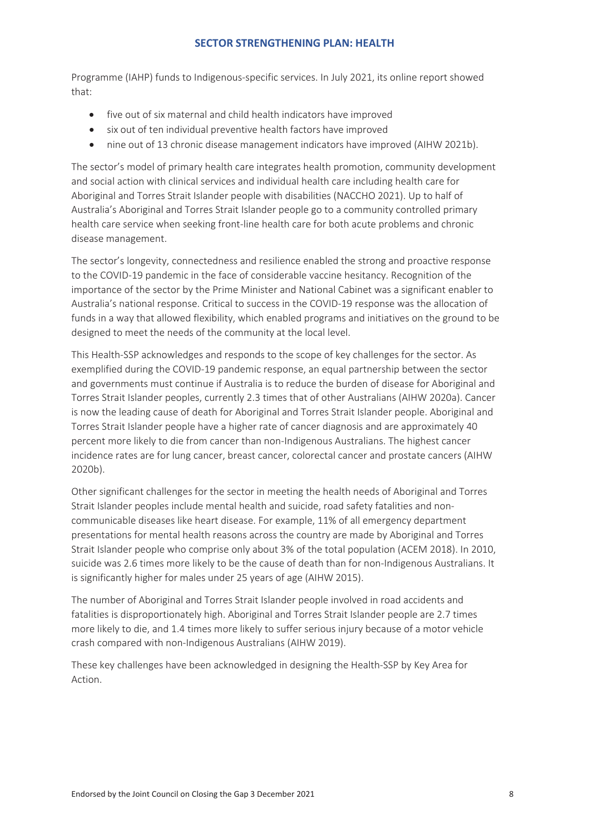Programme (IAHP) funds to Indigenous-specific services. In July 2021, its online report showed that:

- five out of six maternal and child health indicators have improved
- six out of ten individual preventive health factors have improved
- nine out of 13 chronic disease management indicators have improved (AIHW 2021b).

The sector's model of primary health care integrates health promotion, community development and social action with clinical services and individual health care including health care for Aboriginal and Torres Strait Islander people with disabilities (NACCHO 2021). Up to half of Australia's Aboriginal and Torres Strait Islander people go to a community controlled primary health care service when seeking front-line health care for both acute problems and chronic disease management.

The sector's longevity, connectedness and resilience enabled the strong and proactive response to the COVID-19 pandemic in the face of considerable vaccine hesitancy. Recognition of the importance of the sector by the Prime Minister and National Cabinet was a significant enabler to Australia's national response. Critical to success in the COVID-19 response was the allocation of funds in a way that allowed flexibility, which enabled programs and initiatives on the ground to be designed to meet the needs of the community at the local level.

This Health-SSP acknowledges and responds to the scope of key challenges for the sector. As exemplified during the COVID-19 pandemic response, an equal partnership between the sector and governments must continue if Australia is to reduce the burden of disease for Aboriginal and Torres Strait Islander peoples, currently 2.3 times that of other Australians (AIHW 2020a). Cancer is now the leading cause of death for Aboriginal and Torres Strait Islander people. Aboriginal and Torres Strait Islander people have a higher rate of cancer diagnosis and are approximately 40 percent more likely to die from cancer than non-Indigenous Australians. The highest cancer incidence rates are for lung cancer, breast cancer, colorectal cancer and prostate cancers (AIHW 2020b).

Other significant challenges for the sector in meeting the health needs of Aboriginal and Torres Strait Islander peoples include mental health and suicide, road safety fatalities and noncommunicable diseases like heart disease. For example, 11% of all emergency department presentations for mental health reasons across the country are made by Aboriginal and Torres Strait Islander people who comprise only about 3% of the total population (ACEM 2018). In 2010, suicide was 2.6 times more likely to be the cause of death than for non-Indigenous Australians. It is significantly higher for males under 25 years of age (AIHW 2015).

The number of Aboriginal and Torres Strait Islander people involved in road accidents and fatalities is disproportionately high. Aboriginal and Torres Strait Islander people are 2.7 times more likely to die, and 1.4 times more likely to suffer serious injury because of a motor vehicle crash compared with non-Indigenous Australians (AIHW 2019).

These key challenges have been acknowledged in designing the Health-SSP by Key Area for Action.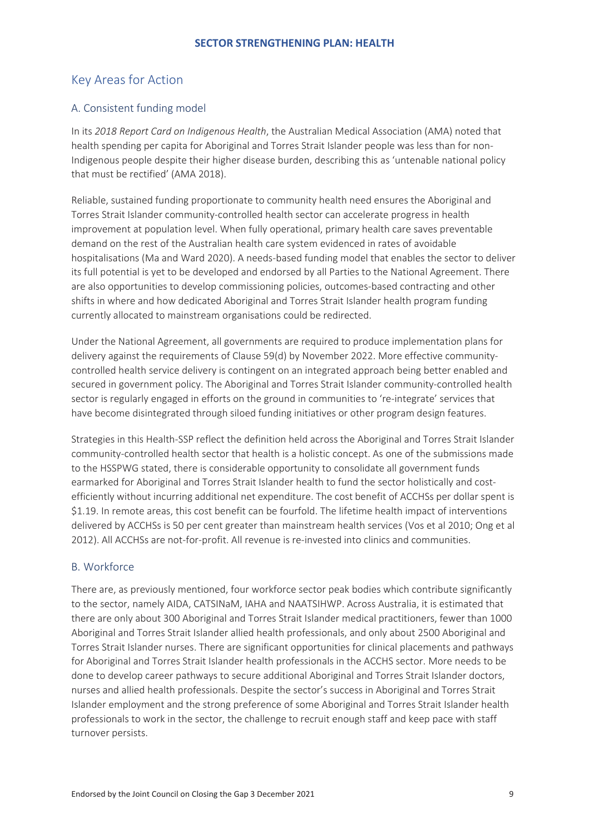## <span id="page-9-0"></span>Key Areas for Action

## <span id="page-9-1"></span>A. Consistent funding model

In its *2018 Report Card on Indigenous Health*, the Australian Medical Association (AMA) noted that health spending per capita for Aboriginal and Torres Strait Islander people was less than for non-Indigenous people despite their higher disease burden, describing this as 'untenable national policy that must be rectified' (AMA 2018).

Reliable, sustained funding proportionate to community health need ensures the Aboriginal and Torres Strait Islander community-controlled health sector can accelerate progress in health improvement at population level. When fully operational, primary health care saves preventable demand on the rest of the Australian health care system evidenced in rates of avoidable hospitalisations (Ma and Ward 2020). A needs-based funding model that enables the sector to deliver its full potential is yet to be developed and endorsed by all Parties to the National Agreement. There are also opportunities to develop commissioning policies, outcomes-based contracting and other shifts in where and how dedicated Aboriginal and Torres Strait Islander health program funding currently allocated to mainstream organisations could be redirected.

Under the National Agreement, all governments are required to produce implementation plans for delivery against the requirements of Clause 59(d) by November 2022. More effective communitycontrolled health service delivery is contingent on an integrated approach being better enabled and secured in government policy. The Aboriginal and Torres Strait Islander community-controlled health sector is regularly engaged in efforts on the ground in communities to 're-integrate' services that have become disintegrated through siloed funding initiatives or other program design features.

Strategies in this Health-SSP reflect the definition held across the Aboriginal and Torres Strait Islander community-controlled health sector that health is a holistic concept. As one of the submissions made to the HSSPWG stated, there is considerable opportunity to consolidate all government funds earmarked for Aboriginal and Torres Strait Islander health to fund the sector holistically and costefficiently without incurring additional net expenditure. The cost benefit of ACCHSs per dollar spent is \$1.19. In remote areas, this cost benefit can be fourfold. The lifetime health impact of interventions delivered by ACCHSs is 50 per cent greater than mainstream health services (Vos et al 2010; Ong et al 2012). All ACCHSs are not-for-profit. All revenue is re-invested into clinics and communities.

## <span id="page-9-2"></span>B. Workforce

There are, as previously mentioned, four workforce sector peak bodies which contribute significantly to the sector, namely AIDA, CATSINaM, IAHA and NAATSIHWP. Across Australia, it is estimated that there are only about 300 Aboriginal and Torres Strait Islander medical practitioners, fewer than 1000 Aboriginal and Torres Strait Islander allied health professionals, and only about 2500 Aboriginal and Torres Strait Islander nurses. There are significant opportunities for clinical placements and pathways for Aboriginal and Torres Strait Islander health professionals in the ACCHS sector. More needs to be done to develop career pathways to secure additional Aboriginal and Torres Strait Islander doctors, nurses and allied health professionals. Despite the sector's success in Aboriginal and Torres Strait Islander employment and the strong preference of some Aboriginal and Torres Strait Islander health professionals to work in the sector, the challenge to recruit enough staff and keep pace with staff turnover persists.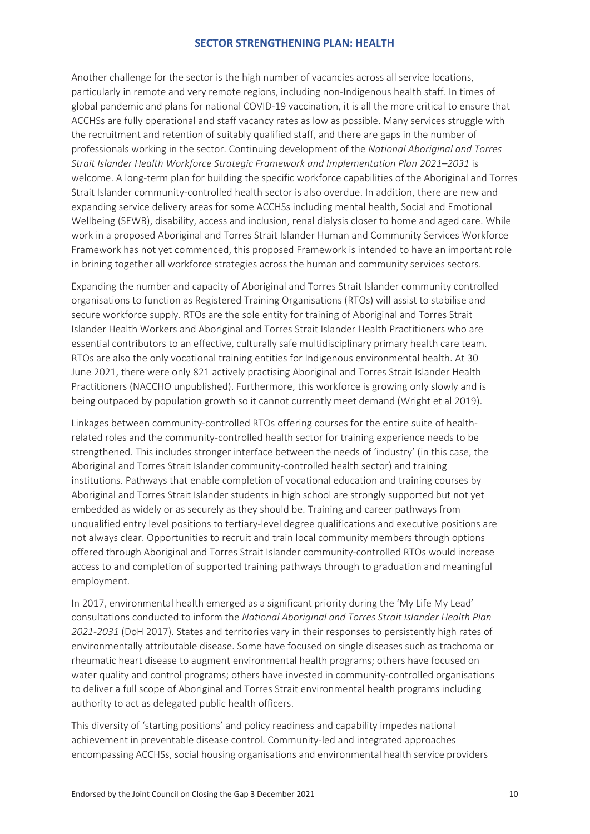Another challenge for the sector is the high number of vacancies across all service locations, particularly in remote and very remote regions, including non-Indigenous health staff. In times of global pandemic and plans for national COVID-19 vaccination, it is all the more critical to ensure that ACCHSs are fully operational and staff vacancy rates as low as possible. Many services struggle with the recruitment and retention of suitably qualified staff, and there are gaps in the number of professionals working in the sector. Continuing development of the *National Aboriginal and Torres Strait Islander Health Workforce Strategic Framework and Implementation Plan 2021–2031* is welcome. A long-term plan for building the specific workforce capabilities of the Aboriginal and Torres Strait Islander community-controlled health sector is also overdue. In addition, there are new and expanding service delivery areas for some ACCHSs including mental health, Social and Emotional Wellbeing (SEWB), disability, access and inclusion, renal dialysis closer to home and aged care. While work in a proposed Aboriginal and Torres Strait Islander Human and Community Services Workforce Framework has not yet commenced, this proposed Framework is intended to have an important role in brining together all workforce strategies across the human and community services sectors.

Expanding the number and capacity of Aboriginal and Torres Strait Islander community controlled organisations to function as Registered Training Organisations (RTOs) will assist to stabilise and secure workforce supply. RTOs are the sole entity for training of Aboriginal and Torres Strait Islander Health Workers and Aboriginal and Torres Strait Islander Health Practitioners who are essential contributors to an effective, culturally safe multidisciplinary primary health care team. RTOs are also the only vocational training entities for Indigenous environmental health. At 30 June 2021, there were only 821 actively practising Aboriginal and Torres Strait Islander Health Practitioners (NACCHO unpublished). Furthermore, this workforce is growing only slowly and is being outpaced by population growth so it cannot currently meet demand (Wright et al 2019).

Linkages between community-controlled RTOs offering courses for the entire suite of healthrelated roles and the community-controlled health sector for training experience needs to be strengthened. This includes stronger interface between the needs of 'industry' (in this case, the Aboriginal and Torres Strait Islander community-controlled health sector) and training institutions. Pathways that enable completion of vocational education and training courses by Aboriginal and Torres Strait Islander students in high school are strongly supported but not yet embedded as widely or as securely as they should be. Training and career pathways from unqualified entry level positions to tertiary-level degree qualifications and executive positions are not always clear. Opportunities to recruit and train local community members through options offered through Aboriginal and Torres Strait Islander community-controlled RTOs would increase access to and completion of supported training pathways through to graduation and meaningful employment.

In 2017, environmental health emerged as a significant priority during the 'My Life My Lead' consultations conducted to inform the *National Aboriginal and Torres Strait Islander Health Plan 2021-2031* (DoH 2017). States and territories vary in their responses to persistently high rates of environmentally attributable disease. Some have focused on single diseases such as trachoma or rheumatic heart disease to augment environmental health programs; others have focused on water quality and control programs; others have invested in community-controlled organisations to deliver a full scope of Aboriginal and Torres Strait environmental health programs including authority to act as delegated public health officers.

This diversity of 'starting positions' and policy readiness and capability impedes national achievement in preventable disease control. Community-led and integrated approaches encompassing ACCHSs, social housing organisations and environmental health service providers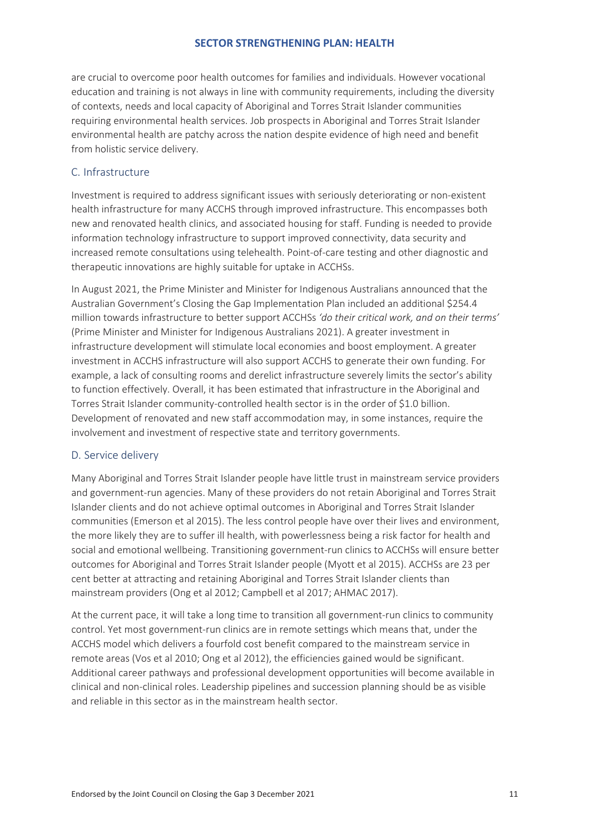are crucial to overcome poor health outcomes for families and individuals. However vocational education and training is not always in line with community requirements, including the diversity of contexts, needs and local capacity of Aboriginal and Torres Strait Islander communities requiring environmental health services. Job prospects in Aboriginal and Torres Strait Islander environmental health are patchy across the nation despite evidence of high need and benefit from holistic service delivery.

## <span id="page-11-0"></span>C. Infrastructure

Investment is required to address significant issues with seriously deteriorating or non-existent health infrastructure for many ACCHS through improved infrastructure. This encompasses both new and renovated health clinics, and associated housing for staff. Funding is needed to provide information technology infrastructure to support improved connectivity, data security and increased remote consultations using telehealth. Point-of-care testing and other diagnostic and therapeutic innovations are highly suitable for uptake in ACCHSs.

In August 2021, the Prime Minister and Minister for Indigenous Australians announced that the Australian Government's Closing the Gap Implementation Plan included an additional \$254.4 million towards infrastructure to better support ACCHSs *'do their critical work, and on their terms'* (Prime Minister and Minister for Indigenous Australians 2021). A greater investment in infrastructure development will stimulate local economies and boost employment. A greater investment in ACCHS infrastructure will also support ACCHS to generate their own funding. For example, a lack of consulting rooms and derelict infrastructure severely limits the sector's ability to function effectively. Overall, it has been estimated that infrastructure in the Aboriginal and Torres Strait Islander community-controlled health sector is in the order of \$1.0 billion. Development of renovated and new staff accommodation may, in some instances, require the involvement and investment of respective state and territory governments.

#### <span id="page-11-1"></span>D. Service delivery

Many Aboriginal and Torres Strait Islander people have little trust in mainstream service providers and government-run agencies. Many of these providers do not retain Aboriginal and Torres Strait Islander clients and do not achieve optimal outcomes in Aboriginal and Torres Strait Islander communities (Emerson et al 2015). The less control people have over their lives and environment, the more likely they are to suffer ill health, with powerlessness being a risk factor for health and social and emotional wellbeing. Transitioning government-run clinics to ACCHSs will ensure better outcomes for Aboriginal and Torres Strait Islander people (Myott et al 2015). ACCHSs are 23 per cent better at attracting and retaining Aboriginal and Torres Strait Islander clients than mainstream providers (Ong et al 2012; Campbell et al 2017; AHMAC 2017).

At the current pace, it will take a long time to transition all government-run clinics to community control. Yet most government-run clinics are in remote settings which means that, under the ACCHS model which delivers a fourfold cost benefit compared to the mainstream service in remote areas (Vos et al 2010; Ong et al 2012), the efficiencies gained would be significant. Additional career pathways and professional development opportunities will become available in clinical and non-clinical roles. Leadership pipelines and succession planning should be as visible and reliable in this sector as in the mainstream health sector.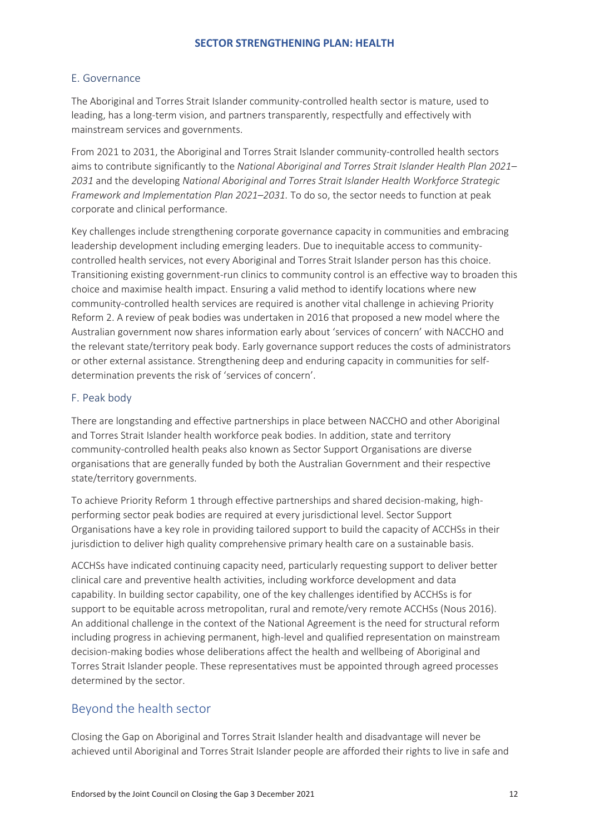## <span id="page-12-0"></span>E. Governance

The Aboriginal and Torres Strait Islander community-controlled health sector is mature, used to leading, has a long-term vision, and partners transparently, respectfully and effectively with mainstream services and governments.

From 2021 to 2031, the Aboriginal and Torres Strait Islander community-controlled health sectors aims to contribute significantly to the *National Aboriginal and Torres Strait Islander Health Plan 2021– 2031* and the developing *National Aboriginal and Torres Strait Islander Health Workforce Strategic Framework and Implementation Plan 2021–2031.* To do so, the sector needs to function at peak corporate and clinical performance.

Key challenges include strengthening corporate governance capacity in communities and embracing leadership development including emerging leaders. Due to inequitable access to communitycontrolled health services, not every Aboriginal and Torres Strait Islander person has this choice. Transitioning existing government-run clinics to community control is an effective way to broaden this choice and maximise health impact. Ensuring a valid method to identify locations where new community-controlled health services are required is another vital challenge in achieving Priority Reform 2. A review of peak bodies was undertaken in 2016 that proposed a new model where the Australian government now shares information early about 'services of concern' with NACCHO and the relevant state/territory peak body. Early governance support reduces the costs of administrators or other external assistance. Strengthening deep and enduring capacity in communities for selfdetermination prevents the risk of 'services of concern'.

#### <span id="page-12-1"></span>F. Peak body

There are longstanding and effective partnerships in place between NACCHO and other Aboriginal and Torres Strait Islander health workforce peak bodies. In addition, state and territory community-controlled health peaks also known as Sector Support Organisations are diverse organisations that are generally funded by both the Australian Government and their respective state/territory governments.

To achieve Priority Reform 1 through effective partnerships and shared decision-making, highperforming sector peak bodies are required at every jurisdictional level. Sector Support Organisations have a key role in providing tailored support to build the capacity of ACCHSs in their jurisdiction to deliver high quality comprehensive primary health care on a sustainable basis.

ACCHSs have indicated continuing capacity need, particularly requesting support to deliver better clinical care and preventive health activities, including workforce development and data capability. In building sector capability, one of the key challenges identified by ACCHSs is for support to be equitable across metropolitan, rural and remote/very remote ACCHSs (Nous 2016). An additional challenge in the context of the National Agreement is the need for structural reform including progress in achieving permanent, high-level and qualified representation on mainstream decision-making bodies whose deliberations affect the health and wellbeing of Aboriginal and Torres Strait Islander people. These representatives must be appointed through agreed processes determined by the sector.

## <span id="page-12-2"></span>Beyond the health sector

Closing the Gap on Aboriginal and Torres Strait Islander health and disadvantage will never be achieved until Aboriginal and Torres Strait Islander people are afforded their rights to live in safe and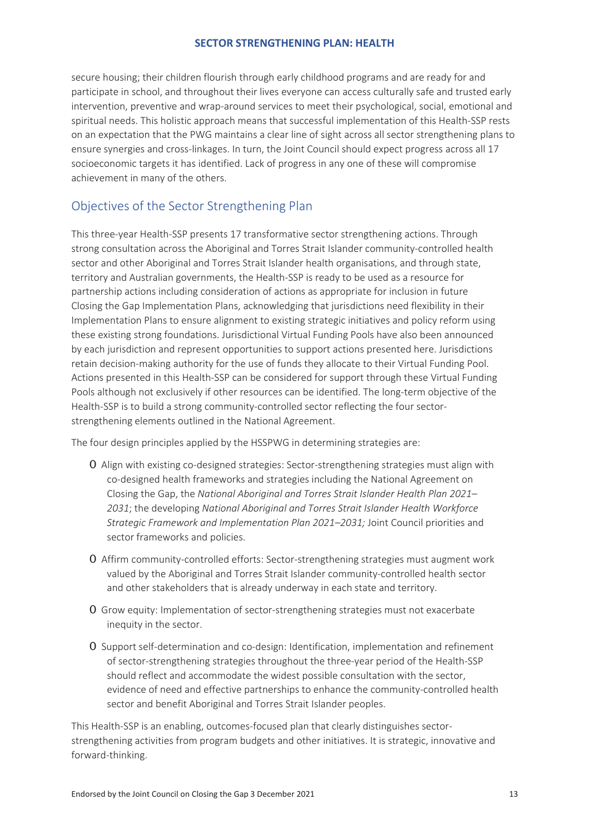secure housing; their children flourish through early childhood programs and are ready for and participate in school, and throughout their lives everyone can access culturally safe and trusted early intervention, preventive and wrap-around services to meet their psychological, social, emotional and spiritual needs. This holistic approach means that successful implementation of this Health-SSP rests on an expectation that the PWG maintains a clear line of sight across all sector strengthening plans to ensure synergies and cross-linkages. In turn, the Joint Council should expect progress across all 17 socioeconomic targets it has identified. Lack of progress in any one of these will compromise achievement in many of the others.

## <span id="page-13-0"></span>Objectives of the Sector Strengthening Plan

This three-year Health-SSP presents 17 transformative sector strengthening actions. Through strong consultation across the Aboriginal and Torres Strait Islander community-controlled health sector and other Aboriginal and Torres Strait Islander health organisations, and through state, territory and Australian governments, the Health-SSP is ready to be used as a resource for partnership actions including consideration of actions as appropriate for inclusion in future Closing the Gap Implementation Plans, acknowledging that jurisdictions need flexibility in their Implementation Plans to ensure alignment to existing strategic initiatives and policy reform using these existing strong foundations. Jurisdictional Virtual Funding Pools have also been announced by each jurisdiction and represent opportunities to support actions presented here. Jurisdictions retain decision-making authority for the use of funds they allocate to their Virtual Funding Pool. Actions presented in this Health-SSP can be considered for support through these Virtual Funding Pools although not exclusively if other resources can be identified. The long-term objective of the Health-SSP is to build a strong community-controlled sector reflecting the four sectorstrengthening elements outlined in the National Agreement.

The four design principles applied by the HSSPWG in determining strategies are:

- 0 Align with existing co-designed strategies: Sector-strengthening strategies must align with co-designed health frameworks and strategies including the National Agreement on Closing the Gap, the *National Aboriginal and Torres Strait Islander Health Plan 2021– 2031*; the developing *National Aboriginal and Torres Strait Islander Health Workforce Strategic Framework and Implementation Plan 2021–2031;* Joint Council priorities and sector frameworks and policies.
- 0 Affirm community-controlled efforts: Sector-strengthening strategies must augment work valued by the Aboriginal and Torres Strait Islander community-controlled health sector and other stakeholders that is already underway in each state and territory.
- 0 Grow equity: Implementation of sector-strengthening strategies must not exacerbate inequity in the sector.
- 0 Support self-determination and co-design: Identification, implementation and refinement of sector-strengthening strategies throughout the three-year period of the Health-SSP should reflect and accommodate the widest possible consultation with the sector, evidence of need and effective partnerships to enhance the community-controlled health sector and benefit Aboriginal and Torres Strait Islander peoples.

This Health-SSP is an enabling, outcomes-focused plan that clearly distinguishes sectorstrengthening activities from program budgets and other initiatives. It is strategic, innovative and forward-thinking.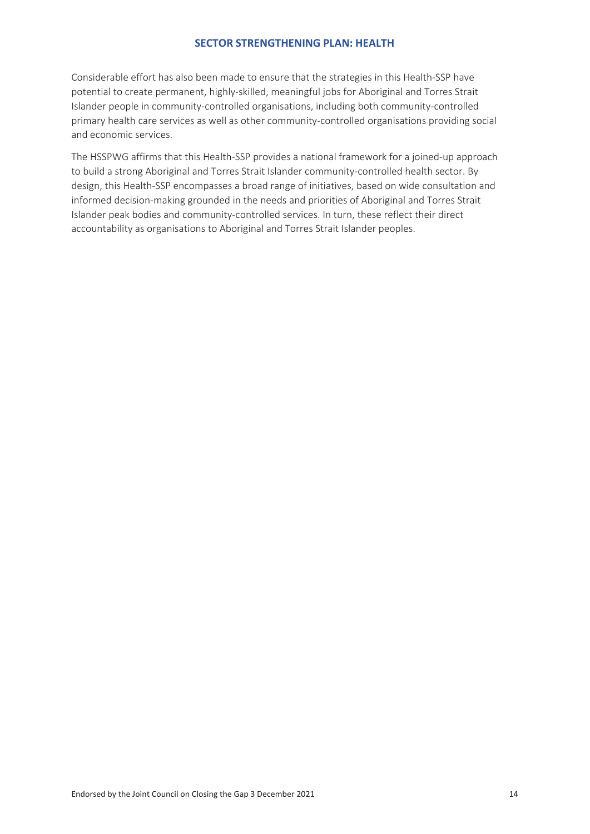Considerable effort has also been made to ensure that the strategies in this Health-SSP have potential to create permanent, highly-skilled, meaningful jobs for Aboriginal and Torres Strait Islander people in community-controlled organisations, including both community-controlled primary health care services as well as other community-controlled organisations providing social and economic services.

The HSSPWG affirms that this Health-SSP provides a national framework for a joined-up approach to build a strong Aboriginal and Torres Strait Islander community-controlled health sector. By design, this Health-SSP encompasses a broad range of initiatives, based on wide consultation and informed decision-making grounded in the needs and priorities of Aboriginal and Torres Strait Islander peak bodies and community-controlled services. In turn, these reflect their direct accountability as organisations to Aboriginal and Torres Strait Islander peoples.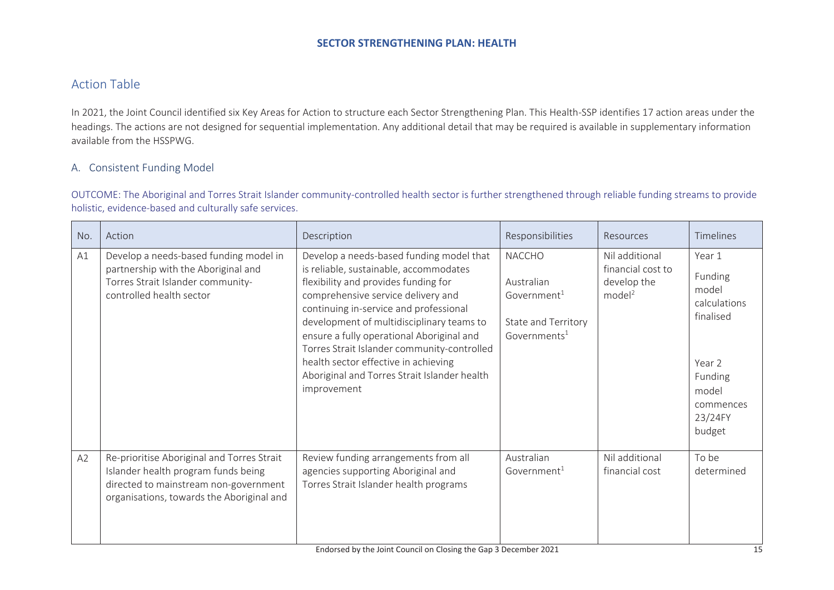## Action Table

In 2021, the Joint Council identified six Key Areas for Action to structure each Sector Strengthening Plan. This Health-SSP identifies 17 action areas under the headings. The actions are not designed for sequential implementation. Any additional detail that may be required is available in supplementary information available from the HSSPWG.

#### A. Consistent Funding Model

OUTCOME: The Aboriginal and Torres Strait Islander community-controlled health sector is further strengthened through reliable funding streams to provide holistic, evidence-based and culturally safe services.

<span id="page-15-0"></span>

| No. | Action                                                                                                                                                                  | Description                                                                                                                                                                                                                                                                                                                                                                                                                                                | Responsibilities                                                                                          | Resources                                                                | Timelines                                                                                                               |
|-----|-------------------------------------------------------------------------------------------------------------------------------------------------------------------------|------------------------------------------------------------------------------------------------------------------------------------------------------------------------------------------------------------------------------------------------------------------------------------------------------------------------------------------------------------------------------------------------------------------------------------------------------------|-----------------------------------------------------------------------------------------------------------|--------------------------------------------------------------------------|-------------------------------------------------------------------------------------------------------------------------|
| A1  | Develop a needs-based funding model in<br>partnership with the Aboriginal and<br>Torres Strait Islander community-<br>controlled health sector                          | Develop a needs-based funding model that<br>is reliable, sustainable, accommodates<br>flexibility and provides funding for<br>comprehensive service delivery and<br>continuing in-service and professional<br>development of multidisciplinary teams to<br>ensure a fully operational Aboriginal and<br>Torres Strait Islander community-controlled<br>health sector effective in achieving<br>Aboriginal and Torres Strait Islander health<br>improvement | <b>NACCHO</b><br>Australian<br>Government <sup>1</sup><br>State and Territory<br>Governments <sup>1</sup> | Nil additional<br>financial cost to<br>develop the<br>model <sup>2</sup> | Year 1<br>Funding<br>model<br>calculations<br>finalised<br>Year 2<br>Funding<br>model<br>commences<br>23/24FY<br>budget |
| A2  | Re-prioritise Aboriginal and Torres Strait<br>Islander health program funds being<br>directed to mainstream non-government<br>organisations, towards the Aboriginal and | Review funding arrangements from all<br>agencies supporting Aboriginal and<br>Torres Strait Islander health programs                                                                                                                                                                                                                                                                                                                                       | Australian<br>Government $1$                                                                              | Nil additional<br>financial cost                                         | To be<br>determined                                                                                                     |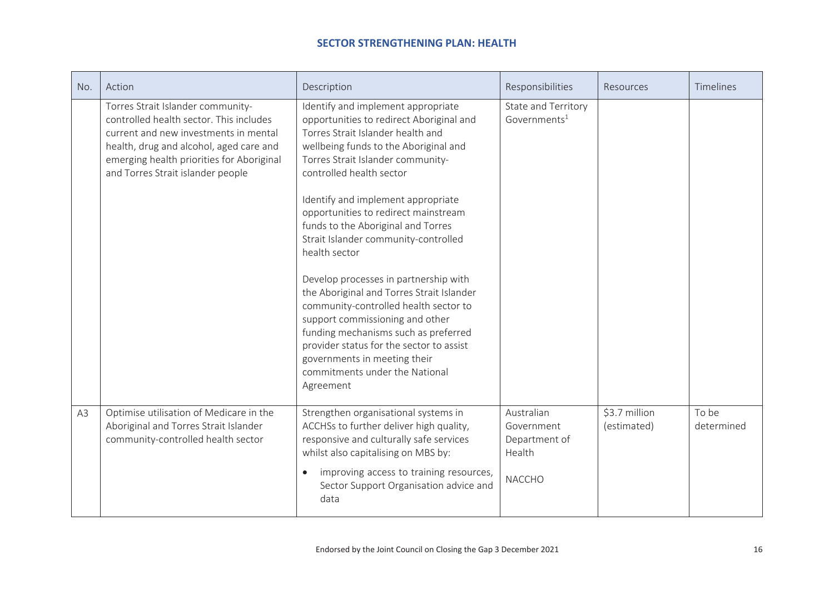| No. | Action                                                                                                                                                                                                                                             | Description                                                                                                                                                                                                                                                                                                                                                                                                                                                                                                                                                                                                                                                                                                                                     | Responsibilities                                                     | Resources                    | Timelines           |
|-----|----------------------------------------------------------------------------------------------------------------------------------------------------------------------------------------------------------------------------------------------------|-------------------------------------------------------------------------------------------------------------------------------------------------------------------------------------------------------------------------------------------------------------------------------------------------------------------------------------------------------------------------------------------------------------------------------------------------------------------------------------------------------------------------------------------------------------------------------------------------------------------------------------------------------------------------------------------------------------------------------------------------|----------------------------------------------------------------------|------------------------------|---------------------|
|     | Torres Strait Islander community-<br>controlled health sector. This includes<br>current and new investments in mental<br>health, drug and alcohol, aged care and<br>emerging health priorities for Aboriginal<br>and Torres Strait islander people | Identify and implement appropriate<br>opportunities to redirect Aboriginal and<br>Torres Strait Islander health and<br>wellbeing funds to the Aboriginal and<br>Torres Strait Islander community-<br>controlled health sector<br>Identify and implement appropriate<br>opportunities to redirect mainstream<br>funds to the Aboriginal and Torres<br>Strait Islander community-controlled<br>health sector<br>Develop processes in partnership with<br>the Aboriginal and Torres Strait Islander<br>community-controlled health sector to<br>support commissioning and other<br>funding mechanisms such as preferred<br>provider status for the sector to assist<br>governments in meeting their<br>commitments under the National<br>Agreement | State and Territory<br>Governments $1$                               |                              |                     |
| A3  | Optimise utilisation of Medicare in the<br>Aboriginal and Torres Strait Islander<br>community-controlled health sector                                                                                                                             | Strengthen organisational systems in<br>ACCHSs to further deliver high quality,<br>responsive and culturally safe services<br>whilst also capitalising on MBS by:<br>improving access to training resources,<br>$\bullet$<br>Sector Support Organisation advice and<br>data                                                                                                                                                                                                                                                                                                                                                                                                                                                                     | Australian<br>Government<br>Department of<br>Health<br><b>NACCHO</b> | \$3.7 million<br>(estimated) | To be<br>determined |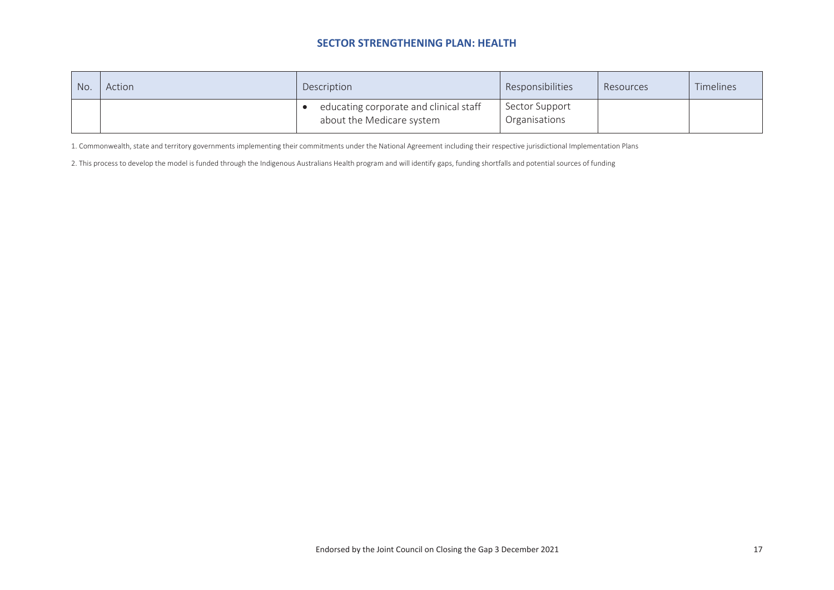| No. | Action | Description                                                         | Responsibilities                | Resources | Timelines |
|-----|--------|---------------------------------------------------------------------|---------------------------------|-----------|-----------|
|     |        | educating corporate and clinical staff<br>about the Medicare system | Sector Support<br>Organisations |           |           |

1. Commonwealth, state and territory governments implementing their commitments under the National Agreement including their respective jurisdictional Implementation Plans

2. This process to develop the model is funded through the Indigenous Australians Health program and will identify gaps, funding shortfalls and potential sources of funding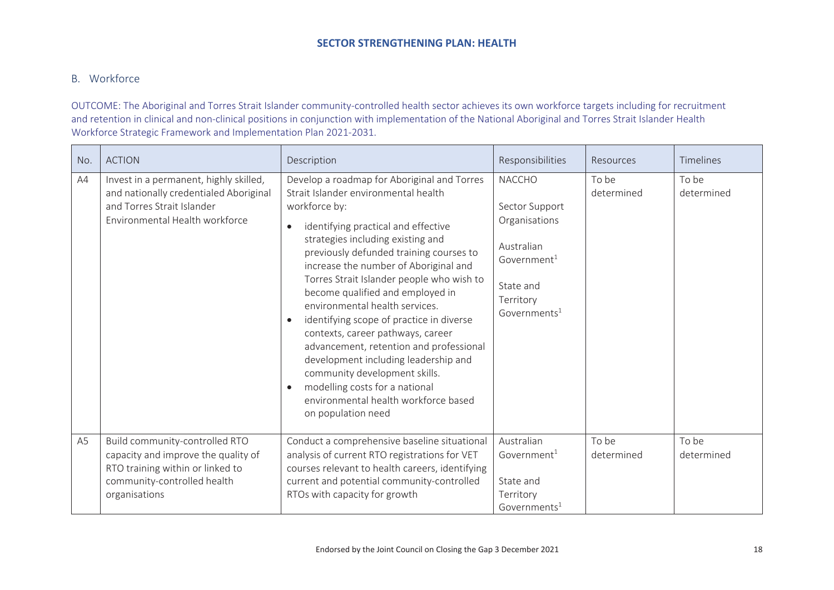## B. Workforce

OUTCOME: The Aboriginal and Torres Strait Islander community-controlled health sector achieves its own workforce targets including for recruitment and retention in clinical and non-clinical positions in conjunction with implementation of the National Aboriginal and Torres Strait Islander Health Workforce Strategic Framework and Implementation Plan 2021-2031.

| No.            | <b>ACTION</b>                                                                                                                                             | Description                                                                                                                                                                                                                                                                                                                                                                                                                                                                                                                                                                                                                                                                                                                         | Responsibilities                                                                                                                               | Resources           | Timelines           |
|----------------|-----------------------------------------------------------------------------------------------------------------------------------------------------------|-------------------------------------------------------------------------------------------------------------------------------------------------------------------------------------------------------------------------------------------------------------------------------------------------------------------------------------------------------------------------------------------------------------------------------------------------------------------------------------------------------------------------------------------------------------------------------------------------------------------------------------------------------------------------------------------------------------------------------------|------------------------------------------------------------------------------------------------------------------------------------------------|---------------------|---------------------|
| AA             | Invest in a permanent, highly skilled,<br>and nationally credentialed Aboriginal<br>and Torres Strait Islander<br>Environmental Health workforce          | Develop a roadmap for Aboriginal and Torres<br>Strait Islander environmental health<br>workforce by:<br>identifying practical and effective<br>$\bullet$<br>strategies including existing and<br>previously defunded training courses to<br>increase the number of Aboriginal and<br>Torres Strait Islander people who wish to<br>become qualified and employed in<br>environmental health services.<br>identifying scope of practice in diverse<br>$\bullet$<br>contexts, career pathways, career<br>advancement, retention and professional<br>development including leadership and<br>community development skills.<br>modelling costs for a national<br>$\bullet$<br>environmental health workforce based<br>on population need | <b>NACCHO</b><br>Sector Support<br>Organisations<br>Australian<br>Government <sup>1</sup><br>State and<br>Territory<br>Government <sup>1</sup> | To be<br>determined | To be<br>determined |
| A <sub>5</sub> | Build community-controlled RTO<br>capacity and improve the quality of<br>RTO training within or linked to<br>community-controlled health<br>organisations | Conduct a comprehensive baseline situational<br>analysis of current RTO registrations for VET<br>courses relevant to health careers, identifying<br>current and potential community-controlled<br>RTOs with capacity for growth                                                                                                                                                                                                                                                                                                                                                                                                                                                                                                     | Australian<br>Government $1$<br>State and<br>Territory<br>Governments $1$                                                                      | To be<br>determined | To be<br>determined |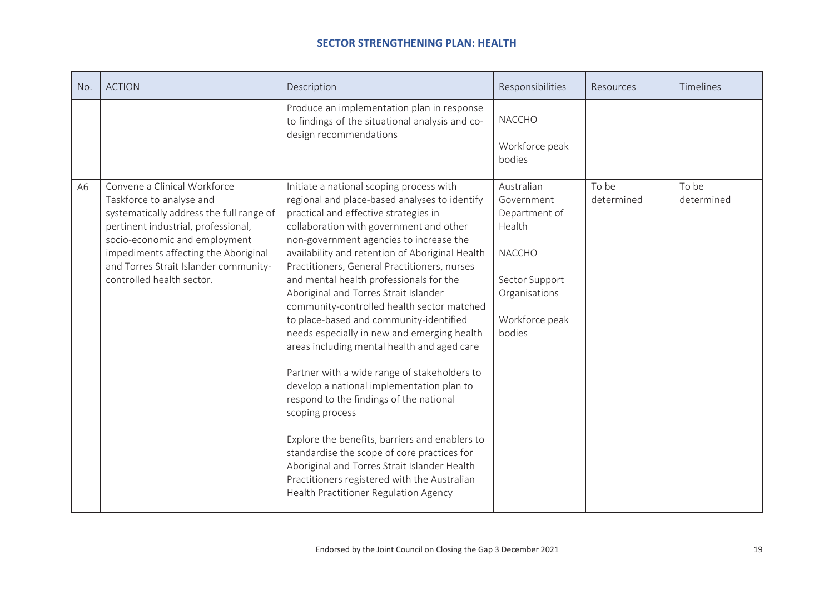| No. | <b>ACTION</b>                                                                                                                                                                                                                                                                              | Description                                                                                                                                                                                                                                                                                                                                                                                                                                                                                                                                                                                                                                                                                                                                                                                                                                                                                                                                                                                                 | Responsibilities                                                                                                                    | Resources           | <b>Timelines</b>    |
|-----|--------------------------------------------------------------------------------------------------------------------------------------------------------------------------------------------------------------------------------------------------------------------------------------------|-------------------------------------------------------------------------------------------------------------------------------------------------------------------------------------------------------------------------------------------------------------------------------------------------------------------------------------------------------------------------------------------------------------------------------------------------------------------------------------------------------------------------------------------------------------------------------------------------------------------------------------------------------------------------------------------------------------------------------------------------------------------------------------------------------------------------------------------------------------------------------------------------------------------------------------------------------------------------------------------------------------|-------------------------------------------------------------------------------------------------------------------------------------|---------------------|---------------------|
|     |                                                                                                                                                                                                                                                                                            | Produce an implementation plan in response<br>to findings of the situational analysis and co-<br>design recommendations                                                                                                                                                                                                                                                                                                                                                                                                                                                                                                                                                                                                                                                                                                                                                                                                                                                                                     | <b>NACCHO</b><br>Workforce peak<br>bodies                                                                                           |                     |                     |
| A6  | Convene a Clinical Workforce<br>Taskforce to analyse and<br>systematically address the full range of<br>pertinent industrial, professional,<br>socio-economic and employment<br>impediments affecting the Aboriginal<br>and Torres Strait Islander community-<br>controlled health sector. | Initiate a national scoping process with<br>regional and place-based analyses to identify<br>practical and effective strategies in<br>collaboration with government and other<br>non-government agencies to increase the<br>availability and retention of Aboriginal Health<br>Practitioners, General Practitioners, nurses<br>and mental health professionals for the<br>Aboriginal and Torres Strait Islander<br>community-controlled health sector matched<br>to place-based and community-identified<br>needs especially in new and emerging health<br>areas including mental health and aged care<br>Partner with a wide range of stakeholders to<br>develop a national implementation plan to<br>respond to the findings of the national<br>scoping process<br>Explore the benefits, barriers and enablers to<br>standardise the scope of core practices for<br>Aboriginal and Torres Strait Islander Health<br>Practitioners registered with the Australian<br>Health Practitioner Regulation Agency | Australian<br>Government<br>Department of<br>Health<br><b>NACCHO</b><br>Sector Support<br>Organisations<br>Workforce peak<br>bodies | To be<br>determined | To be<br>determined |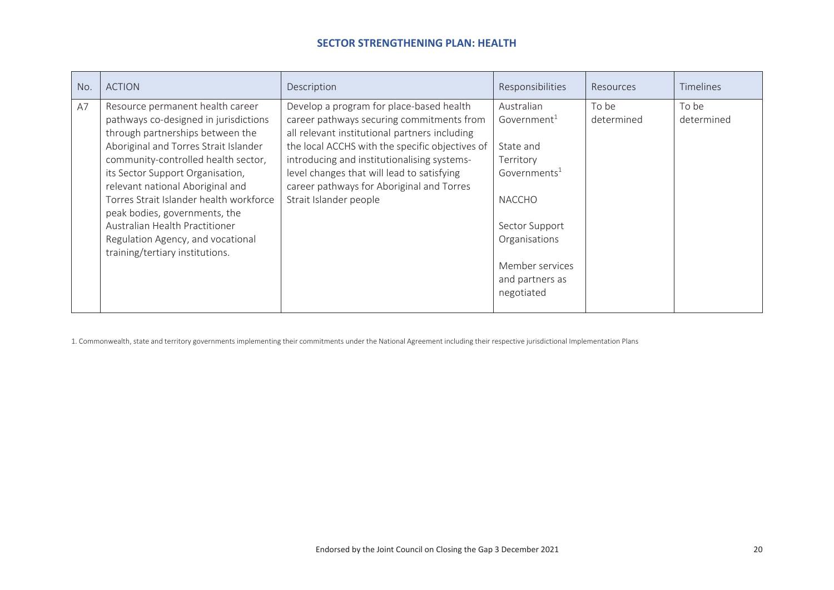| No. | <b>ACTION</b>                           | Description                                     | Responsibilities         | <b>Resources</b> | <b>Timelines</b> |
|-----|-----------------------------------------|-------------------------------------------------|--------------------------|------------------|------------------|
| A7  | Resource permanent health career        | Develop a program for place-based health        | Australian               | To be            | To be            |
|     | pathways co-designed in jurisdictions   | career pathways securing commitments from       | Government <sup>1</sup>  | determined       | determined       |
|     | through partnerships between the        | all relevant institutional partners including   |                          |                  |                  |
|     | Aboriginal and Torres Strait Islander   | the local ACCHS with the specific objectives of | State and                |                  |                  |
|     | community-controlled health sector,     | introducing and institutionalising systems-     | Territory                |                  |                  |
|     | its Sector Support Organisation,        | level changes that will lead to satisfying      | Governments <sup>1</sup> |                  |                  |
|     | relevant national Aboriginal and        | career pathways for Aboriginal and Torres       |                          |                  |                  |
|     | Torres Strait Islander health workforce | Strait Islander people                          | <b>NACCHO</b>            |                  |                  |
|     | peak bodies, governments, the           |                                                 |                          |                  |                  |
|     | Australian Health Practitioner          |                                                 | Sector Support           |                  |                  |
|     | Regulation Agency, and vocational       |                                                 | Organisations            |                  |                  |
|     | training/tertiary institutions.         |                                                 |                          |                  |                  |
|     |                                         |                                                 | Member services          |                  |                  |
|     |                                         |                                                 | and partners as          |                  |                  |
|     |                                         |                                                 | negotiated               |                  |                  |
|     |                                         |                                                 |                          |                  |                  |

1. Commonwealth, state and territory governments implementing their commitments under the National Agreement including their respective jurisdictional Implementation Plans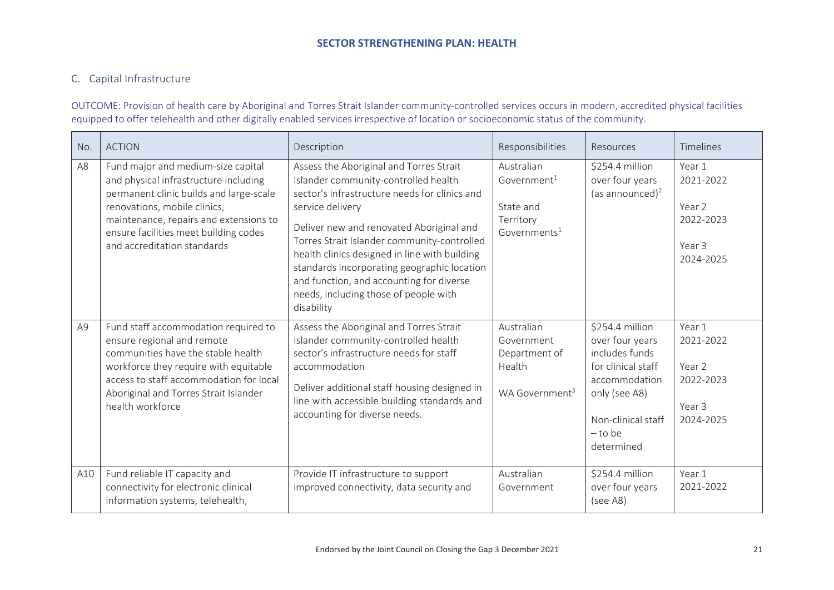## C. Capital Infrastructure

OUTCOME: Provision of health care by Aboriginal and Torres Strait Islander community-controlled services occurs in modern, accredited physical facilities equipped to offer telehealth and other digitally enabled services irrespective of location or socioeconomic status of the community.

| No.            | <b>ACTION</b>                                                                                                                                                                                                                                                            | Description                                                                                                                                                                                                                                                                                                                                                                                                                                        | Responsibilities                                                                              | Resources                                                                                                                                                     | Timelines                                                         |
|----------------|--------------------------------------------------------------------------------------------------------------------------------------------------------------------------------------------------------------------------------------------------------------------------|----------------------------------------------------------------------------------------------------------------------------------------------------------------------------------------------------------------------------------------------------------------------------------------------------------------------------------------------------------------------------------------------------------------------------------------------------|-----------------------------------------------------------------------------------------------|---------------------------------------------------------------------------------------------------------------------------------------------------------------|-------------------------------------------------------------------|
| A <sub>8</sub> | Fund major and medium-size capital<br>and physical infrastructure including<br>permanent clinic builds and large-scale<br>renovations, mobile clinics,<br>maintenance, repairs and extensions to<br>ensure facilities meet building codes<br>and accreditation standards | Assess the Aboriginal and Torres Strait<br>Islander community-controlled health<br>sector's infrastructure needs for clinics and<br>service delivery<br>Deliver new and renovated Aboriginal and<br>Torres Strait Islander community-controlled<br>health clinics designed in line with building<br>standards incorporating geographic location<br>and function, and accounting for diverse<br>needs, including those of people with<br>disability | Australian<br>$Gover$ ment <sup>1</sup><br>State and<br>Territory<br>Governments <sup>1</sup> | \$254.4 million<br>over four years<br>(as announced) <sup>2</sup>                                                                                             | Year 1<br>2021-2022<br>Year 2<br>2022-2023<br>Year 3<br>2024-2025 |
| A <sub>9</sub> | Fund staff accommodation required to<br>ensure regional and remote<br>communities have the stable health<br>workforce they require with equitable<br>access to staff accommodation for local<br>Aboriginal and Torres Strait Islander<br>health workforce                | Assess the Aboriginal and Torres Strait<br>Islander community-controlled health<br>sector's infrastructure needs for staff<br>accommodation<br>Deliver additional staff housing designed in<br>line with accessible building standards and<br>accounting for diverse needs.                                                                                                                                                                        | Australian<br>Government<br>Department of<br>Health<br>WA Government <sup>3</sup>             | \$254.4 million<br>over four years<br>includes funds<br>for clinical staff<br>accommodation<br>only (see A8)<br>Non-clinical staff<br>$-$ to be<br>determined | Year 1<br>2021-2022<br>Year 2<br>2022-2023<br>Year 3<br>2024-2025 |
| A10            | Fund reliable IT capacity and<br>connectivity for electronic clinical<br>information systems, telehealth,                                                                                                                                                                | Provide IT infrastructure to support<br>improved connectivity, data security and                                                                                                                                                                                                                                                                                                                                                                   | Australian<br>Government                                                                      | \$254.4 million<br>over four years<br>(see A8)                                                                                                                | Year 1<br>2021-2022                                               |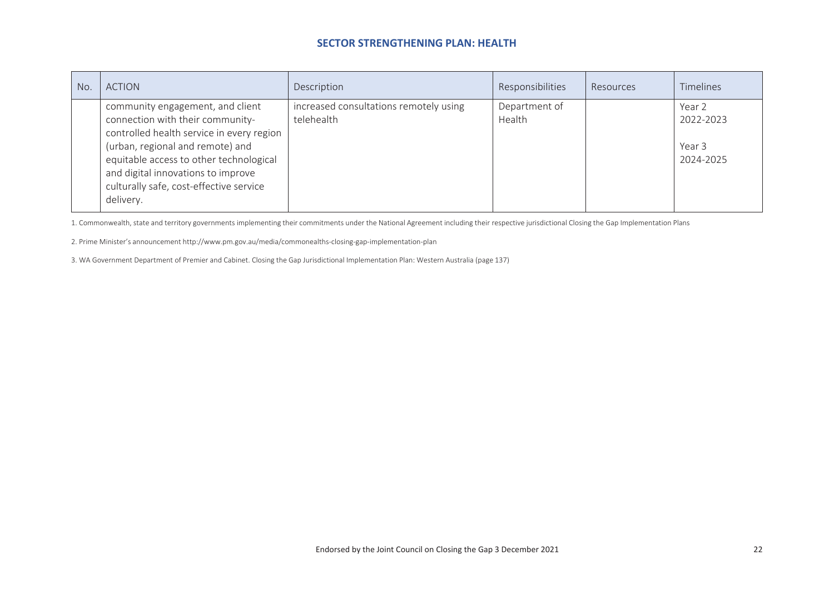| No. | <b>ACTION</b>                                                                                                                                                                                                                                                                                  | Description                                          | Responsibilities        | Resources | <b>Timelines</b>                           |
|-----|------------------------------------------------------------------------------------------------------------------------------------------------------------------------------------------------------------------------------------------------------------------------------------------------|------------------------------------------------------|-------------------------|-----------|--------------------------------------------|
|     | community engagement, and client<br>connection with their community-<br>controlled health service in every region<br>(urban, regional and remote) and<br>equitable access to other technological<br>and digital innovations to improve<br>culturally safe, cost-effective service<br>delivery. | increased consultations remotely using<br>telehealth | Department of<br>Health |           | Year 2<br>2022-2023<br>Year 3<br>2024-2025 |

1. Commonwealth, state and territory governments implementing their commitments under the National Agreement including their respective jurisdictional Closing the Gap Implementation Plans

2. Prime Minister's announcement <http://www.pm.gov.au/media/commonealths-closing-gap-implementation-plan>

3. WA Government Department of Premier and Cabinet. Closing the Gap Jurisdictional Implementation Plan: Western Australia (page 137)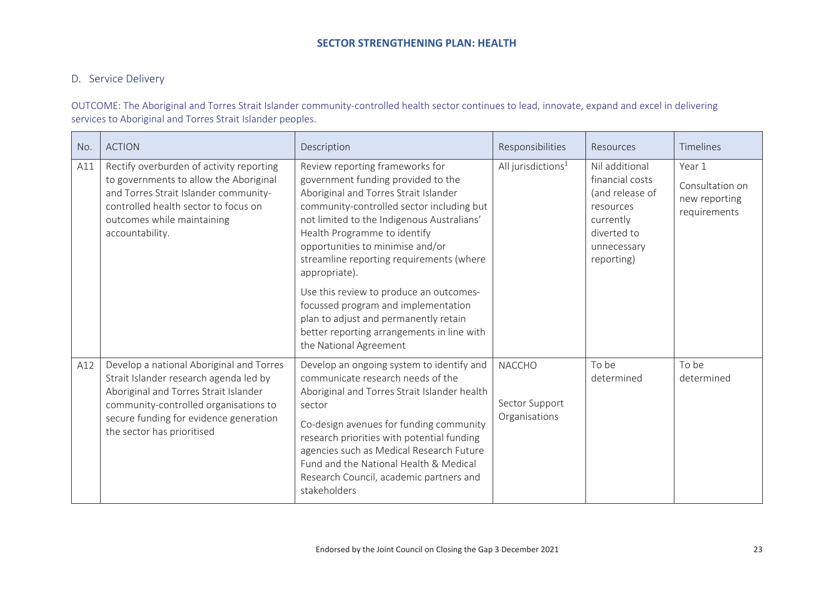## D. Service Delivery

OUTCOME: The Aboriginal and Torres Strait Islander community-controlled health sector continues to lead, innovate, expand and excel in delivering services to Aboriginal and Torres Strait Islander peoples.

| No. | <b>ACTION</b>                                                                                                                                                                                                                                | Description                                                                                                                                                                                                                                                                                                                                                                        | Responsibilities                                 | Resources                                                                                                                  | Timelines                                                  |
|-----|----------------------------------------------------------------------------------------------------------------------------------------------------------------------------------------------------------------------------------------------|------------------------------------------------------------------------------------------------------------------------------------------------------------------------------------------------------------------------------------------------------------------------------------------------------------------------------------------------------------------------------------|--------------------------------------------------|----------------------------------------------------------------------------------------------------------------------------|------------------------------------------------------------|
| A11 | Rectify overburden of activity reporting<br>to governments to allow the Aboriginal<br>and Torres Strait Islander community-<br>controlled health sector to focus on<br>outcomes while maintaining<br>accountability.                         | Review reporting frameworks for<br>All jurisdictions <sup>1</sup><br>government funding provided to the<br>Aboriginal and Torres Strait Islander<br>community-controlled sector including but<br>not limited to the Indigenous Australians'<br>Health Programme to identify<br>opportunities to minimise and/or<br>streamline reporting requirements (where<br>appropriate).       |                                                  | Nil additional<br>financial costs<br>(and release of<br>resources<br>currently<br>diverted to<br>unnecessary<br>reporting) | Year 1<br>Consultation on<br>new reporting<br>requirements |
|     |                                                                                                                                                                                                                                              | Use this review to produce an outcomes-<br>focussed program and implementation<br>plan to adjust and permanently retain<br>better reporting arrangements in line with<br>the National Agreement                                                                                                                                                                                    |                                                  |                                                                                                                            |                                                            |
| A12 | Develop a national Aboriginal and Torres<br>Strait Islander research agenda led by<br>Aboriginal and Torres Strait Islander<br>community-controlled organisations to<br>secure funding for evidence generation<br>the sector has prioritised | Develop an ongoing system to identify and<br>communicate research needs of the<br>Aboriginal and Torres Strait Islander health<br>sector<br>Co-design avenues for funding community<br>research priorities with potential funding<br>agencies such as Medical Research Future<br>Fund and the National Health & Medical<br>Research Council, academic partners and<br>stakeholders | <b>NACCHO</b><br>Sector Support<br>Organisations | To be<br>determined                                                                                                        | To be<br>determined                                        |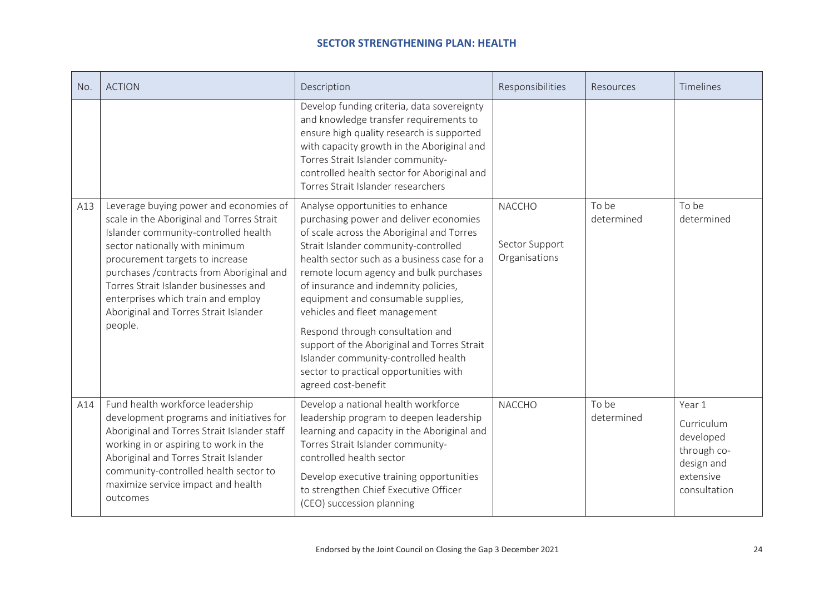| No. | <b>ACTION</b>                                                                                                                                                                                                                                                                                                                                                                    | Description                                                                                                                                                                                                                                                                                                                                                                                                                                                                                                                                                         | Responsibilities                                 | Resources           | Timelines                                                                                   |
|-----|----------------------------------------------------------------------------------------------------------------------------------------------------------------------------------------------------------------------------------------------------------------------------------------------------------------------------------------------------------------------------------|---------------------------------------------------------------------------------------------------------------------------------------------------------------------------------------------------------------------------------------------------------------------------------------------------------------------------------------------------------------------------------------------------------------------------------------------------------------------------------------------------------------------------------------------------------------------|--------------------------------------------------|---------------------|---------------------------------------------------------------------------------------------|
|     |                                                                                                                                                                                                                                                                                                                                                                                  | Develop funding criteria, data sovereignty<br>and knowledge transfer requirements to<br>ensure high quality research is supported<br>with capacity growth in the Aboriginal and<br>Torres Strait Islander community-<br>controlled health sector for Aboriginal and<br>Torres Strait Islander researchers                                                                                                                                                                                                                                                           |                                                  |                     |                                                                                             |
| A13 | Leverage buying power and economies of<br>scale in the Aboriginal and Torres Strait<br>Islander community-controlled health<br>sector nationally with minimum<br>procurement targets to increase<br>purchases / contracts from Aboriginal and<br>Torres Strait Islander businesses and<br>enterprises which train and employ<br>Aboriginal and Torres Strait Islander<br>people. | Analyse opportunities to enhance<br>purchasing power and deliver economies<br>of scale across the Aboriginal and Torres<br>Strait Islander community-controlled<br>health sector such as a business case for a<br>remote locum agency and bulk purchases<br>of insurance and indemnity policies,<br>equipment and consumable supplies,<br>vehicles and fleet management<br>Respond through consultation and<br>support of the Aboriginal and Torres Strait<br>Islander community-controlled health<br>sector to practical opportunities with<br>agreed cost-benefit | <b>NACCHO</b><br>Sector Support<br>Organisations | To be<br>determined | To be<br>determined                                                                         |
| A14 | Fund health workforce leadership<br>development programs and initiatives for<br>Aboriginal and Torres Strait Islander staff<br>working in or aspiring to work in the<br>Aboriginal and Torres Strait Islander<br>community-controlled health sector to<br>maximize service impact and health<br>outcomes                                                                         | Develop a national health workforce<br>leadership program to deepen leadership<br>learning and capacity in the Aboriginal and<br>Torres Strait Islander community-<br>controlled health sector<br>Develop executive training opportunities<br>to strengthen Chief Executive Officer<br>(CEO) succession planning                                                                                                                                                                                                                                                    | <b>NACCHO</b>                                    | To be<br>determined | Year 1<br>Curriculum<br>developed<br>through co-<br>design and<br>extensive<br>consultation |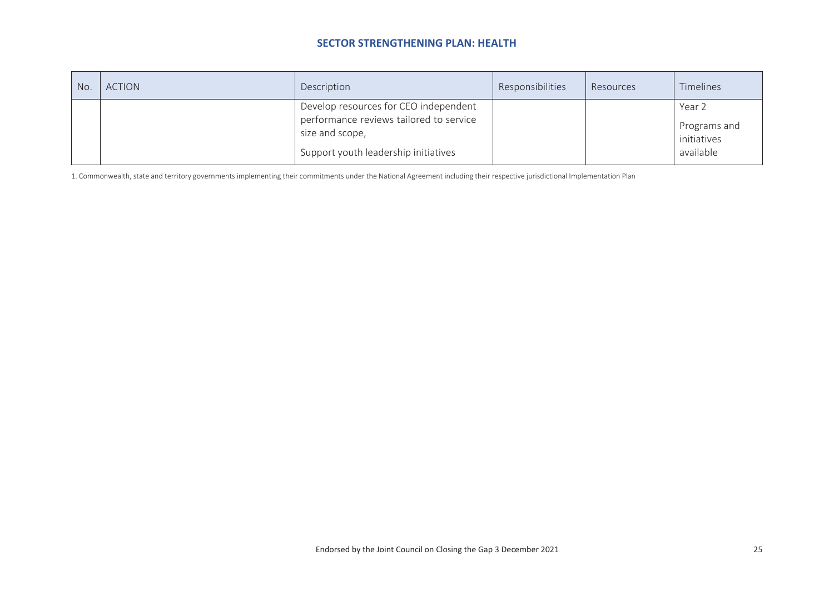| No. | <b>ACTION</b> | Description                                                                                                                                 | Responsibilities | Resources | Timelines                                          |
|-----|---------------|---------------------------------------------------------------------------------------------------------------------------------------------|------------------|-----------|----------------------------------------------------|
|     |               | Develop resources for CEO independent<br>performance reviews tailored to service<br>size and scope,<br>Support youth leadership initiatives |                  |           | Year 2<br>Programs and<br>initiatives<br>available |

1. Commonwealth, state and territory governments implementing their commitments under the National Agreement including their respective jurisdictional Implementation Plan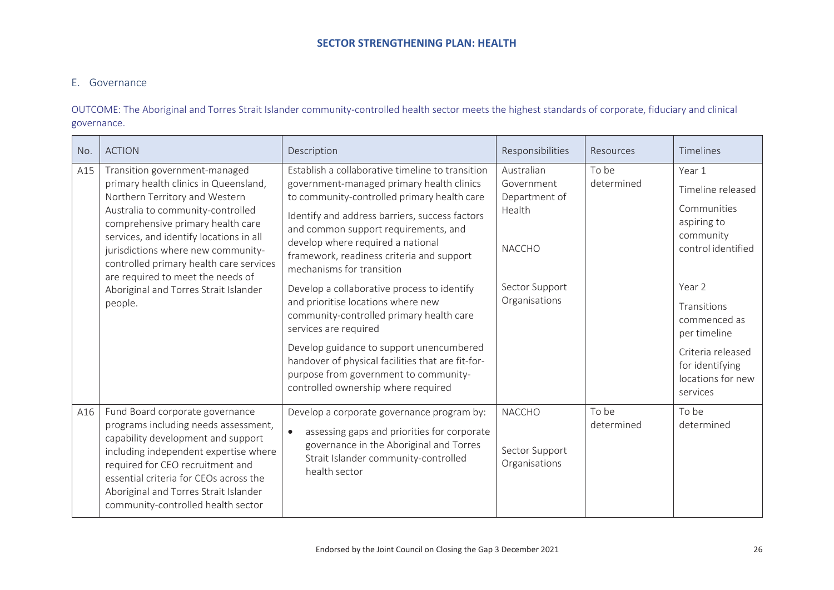## E. Governance

OUTCOME: The Aboriginal and Torres Strait Islander community-controlled health sector meets the highest standards of corporate, fiduciary and clinical governance.

| No. | <b>ACTION</b>                                                                                                                                                                                                                                                                                                                                                                                           | Description                                                                                                                                                                                                                                                                                                                                                                                                                                                                                                                                                                                                                                                                                      | Responsibilities                                                                                        | Resources           | Timelines                                                                                                                                                                                                                      |
|-----|---------------------------------------------------------------------------------------------------------------------------------------------------------------------------------------------------------------------------------------------------------------------------------------------------------------------------------------------------------------------------------------------------------|--------------------------------------------------------------------------------------------------------------------------------------------------------------------------------------------------------------------------------------------------------------------------------------------------------------------------------------------------------------------------------------------------------------------------------------------------------------------------------------------------------------------------------------------------------------------------------------------------------------------------------------------------------------------------------------------------|---------------------------------------------------------------------------------------------------------|---------------------|--------------------------------------------------------------------------------------------------------------------------------------------------------------------------------------------------------------------------------|
| A15 | Transition government-managed<br>primary health clinics in Queensland,<br>Northern Territory and Western<br>Australia to community-controlled<br>comprehensive primary health care<br>services, and identify locations in all<br>jurisdictions where new community-<br>controlled primary health care services<br>are required to meet the needs of<br>Aboriginal and Torres Strait Islander<br>people. | Establish a collaborative timeline to transition<br>government-managed primary health clinics<br>to community-controlled primary health care<br>Identify and address barriers, success factors<br>and common support requirements, and<br>develop where required a national<br>framework, readiness criteria and support<br>mechanisms for transition<br>Develop a collaborative process to identify<br>and prioritise locations where new<br>community-controlled primary health care<br>services are required<br>Develop guidance to support unencumbered<br>handover of physical facilities that are fit-for-<br>purpose from government to community-<br>controlled ownership where required | Australian<br>Government<br>Department of<br>Health<br><b>NACCHO</b><br>Sector Support<br>Organisations | To be<br>determined | Year 1<br>Timeline released<br>Communities<br>aspiring to<br>community<br>control identified<br>Year 2<br>Transitions<br>commenced as<br>per timeline<br>Criteria released<br>for identifying<br>locations for new<br>services |
| A16 | Fund Board corporate governance<br>programs including needs assessment,<br>capability development and support<br>including independent expertise where<br>required for CEO recruitment and<br>essential criteria for CEOs across the<br>Aboriginal and Torres Strait Islander<br>community-controlled health sector                                                                                     | Develop a corporate governance program by:<br>assessing gaps and priorities for corporate<br>$\bullet$<br>governance in the Aboriginal and Torres<br>Strait Islander community-controlled<br>health sector                                                                                                                                                                                                                                                                                                                                                                                                                                                                                       | <b>NACCHO</b><br>Sector Support<br>Organisations                                                        | To be<br>determined | To be<br>determined                                                                                                                                                                                                            |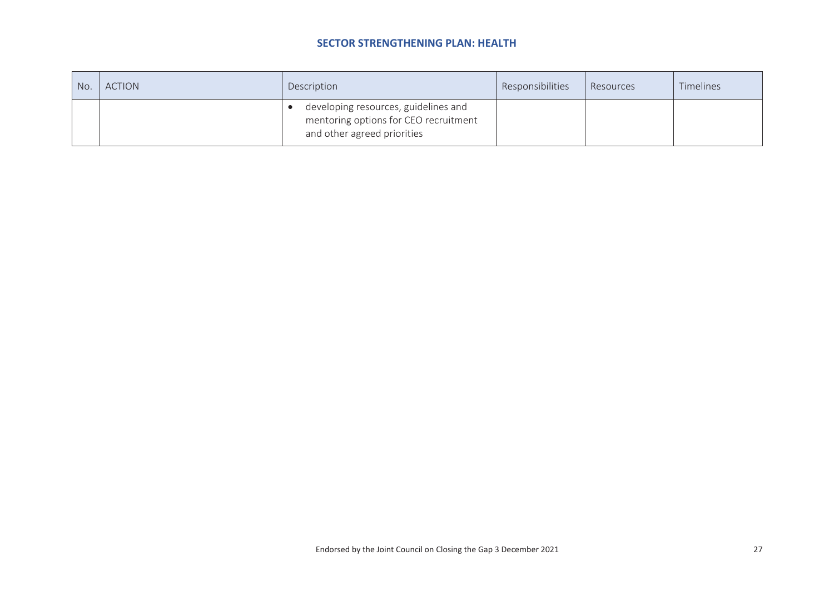| No. | <b>ACTION</b> | Description                                                                                                  | Responsibilities | Resources | Timelines |
|-----|---------------|--------------------------------------------------------------------------------------------------------------|------------------|-----------|-----------|
|     |               | developing resources, guidelines and<br>mentoring options for CEO recruitment<br>and other agreed priorities |                  |           |           |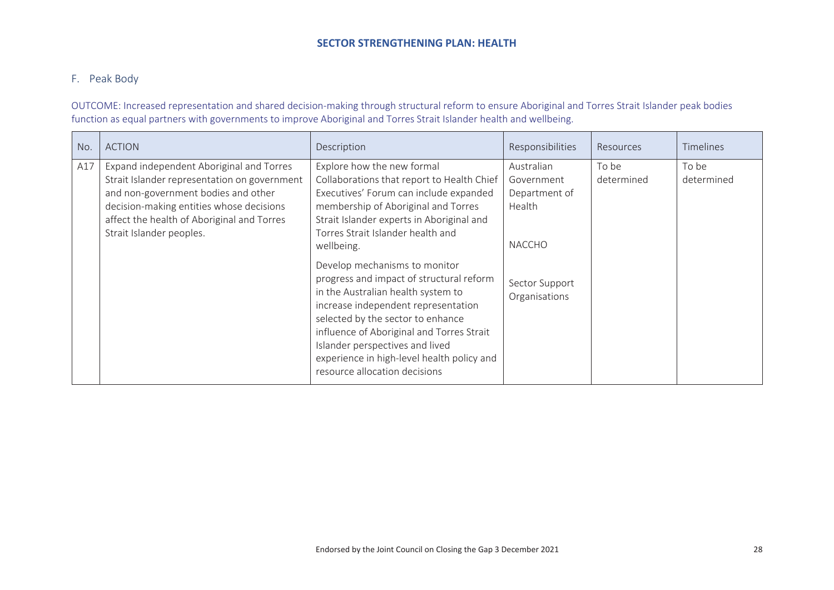## F. Peak Body

OUTCOME: Increased representation and shared decision-making through structural reform to ensure Aboriginal and Torres Strait Islander peak bodies function as equal partners with governments to improve Aboriginal and Torres Strait Islander health and wellbeing.

| No. | <b>ACTION</b>                                                                                                                                                                                                                                         | Description                                                                                                                                                                                                                                                                                                                                                                                                                                                                                                                                                                                                             | Responsibilities                                                                                        | Resources           | <b>Timelines</b>    |
|-----|-------------------------------------------------------------------------------------------------------------------------------------------------------------------------------------------------------------------------------------------------------|-------------------------------------------------------------------------------------------------------------------------------------------------------------------------------------------------------------------------------------------------------------------------------------------------------------------------------------------------------------------------------------------------------------------------------------------------------------------------------------------------------------------------------------------------------------------------------------------------------------------------|---------------------------------------------------------------------------------------------------------|---------------------|---------------------|
| A17 | Expand independent Aboriginal and Torres<br>Strait Islander representation on government<br>and non-government bodies and other<br>decision-making entities whose decisions<br>affect the health of Aboriginal and Torres<br>Strait Islander peoples. | Explore how the new formal<br>Collaborations that report to Health Chief<br>Executives' Forum can include expanded<br>membership of Aboriginal and Torres<br>Strait Islander experts in Aboriginal and<br>Torres Strait Islander health and<br>wellbeing.<br>Develop mechanisms to monitor<br>progress and impact of structural reform<br>in the Australian health system to<br>increase independent representation<br>selected by the sector to enhance<br>influence of Aboriginal and Torres Strait<br>Islander perspectives and lived<br>experience in high-level health policy and<br>resource allocation decisions | Australian<br>Government<br>Department of<br>Health<br><b>NACCHO</b><br>Sector Support<br>Organisations | To be<br>determined | To be<br>determined |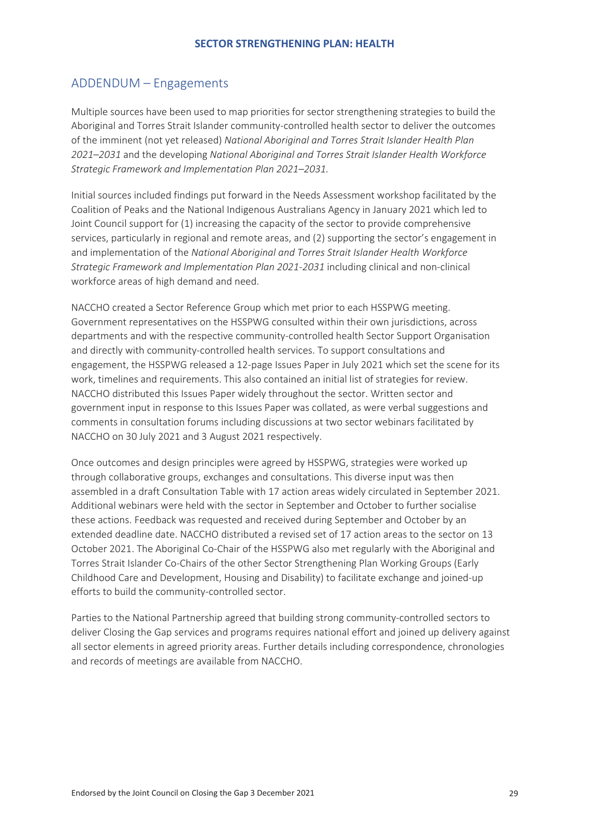## <span id="page-29-0"></span>ADDENDUM – Engagements

Multiple sources have been used to map priorities for sector strengthening strategies to build the Aboriginal and Torres Strait Islander community-controlled health sector to deliver the outcomes of the imminent (not yet released) *National Aboriginal and Torres Strait Islander Health Plan 2021–2031* and the developing *National Aboriginal and Torres Strait Islander Health Workforce Strategic Framework and Implementation Plan 2021–2031.*

Initial sources included findings put forward in the Needs Assessment workshop facilitated by the Coalition of Peaks and the National Indigenous Australians Agency in January 2021 which led to Joint Council support for (1) increasing the capacity of the sector to provide comprehensive services, particularly in regional and remote areas, and (2) supporting the sector's engagement in and implementation of the *National Aboriginal and Torres Strait Islander Health Workforce Strategic Framework and Implementation Plan 2021-2031* including clinical and non-clinical workforce areas of high demand and need.

NACCHO created a Sector Reference Group which met prior to each HSSPWG meeting. Government representatives on the HSSPWG consulted within their own jurisdictions, across departments and with the respective community-controlled health Sector Support Organisation and directly with community-controlled health services. To support consultations and engagement, the HSSPWG released a 12-page Issues Paper in July 2021 which set the scene for its work, timelines and requirements. This also contained an initial list of strategies for review. NACCHO distributed this Issues Paper widely throughout the sector. Written sector and government input in response to this Issues Paper was collated, as were verbal suggestions and comments in consultation forums including discussions at two sector webinars facilitated by NACCHO on 30 July 2021 and 3 August 2021 respectively.

Once outcomes and design principles were agreed by HSSPWG, strategies were worked up through collaborative groups, exchanges and consultations. This diverse input was then assembled in a draft Consultation Table with 17 action areas widely circulated in September 2021. Additional webinars were held with the sector in September and October to further socialise these actions. Feedback was requested and received during September and October by an extended deadline date. NACCHO distributed a revised set of 17 action areas to the sector on 13 October 2021. The Aboriginal Co-Chair of the HSSPWG also met regularly with the Aboriginal and Torres Strait Islander Co-Chairs of the other Sector Strengthening Plan Working Groups (Early Childhood Care and Development, Housing and Disability) to facilitate exchange and joined-up efforts to build the community-controlled sector.

Parties to the National Partnership agreed that building strong community-controlled sectors to deliver Closing the Gap services and programs requires national effort and joined up delivery against all sector elements in agreed priority areas. Further details including correspondence, chronologies and records of meetings are available from NACCHO.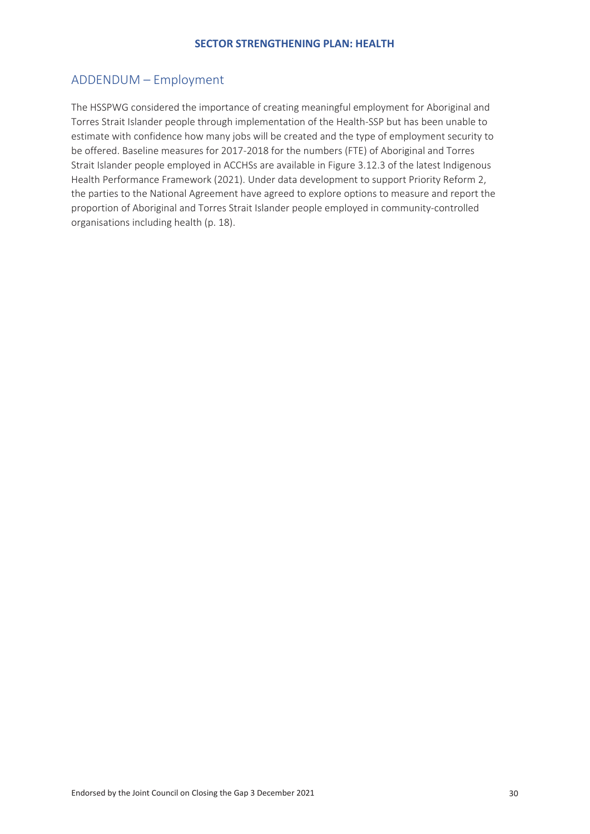## <span id="page-30-0"></span>ADDENDUM – Employment

The HSSPWG considered the importance of creating meaningful employment for Aboriginal and Torres Strait Islander people through implementation of the Health-SSP but has been unable to estimate with confidence how many jobs will be created and the type of employment security to be offered. Baseline measures for 2017-2018 for the numbers (FTE) of Aboriginal and Torres Strait Islander people employed in ACCHSs are available in Figure 3.12.3 of the latest Indigenous Health Performance Framework (2021). Under data development to support Priority Reform 2, the parties to the National Agreement have agreed to explore options to measure and report the proportion of Aboriginal and Torres Strait Islander people employed in community-controlled organisations including health (p. 18).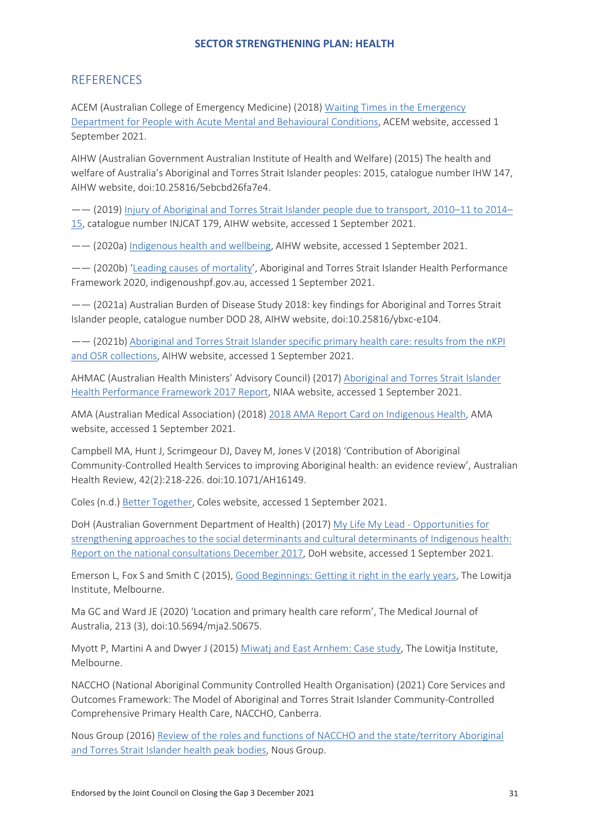## <span id="page-31-0"></span>**REFERENCES**

ACEM (Australian College of Emergency Medicine) (2018) Waiting Times in the Emergency Department for People with Acute Mental and Behavioural Conditions, ACEM website, accessed 1 September 2021.

AIHW (Australian Government Australian Institute of Health and Welfare) (2015) The health and welfare of Australia's Aboriginal and Torres Strait Islander peoples: 2015, catalogue number IHW 147, AIHW website, doi:10.25816/5ebcbd26fa7e4.

—— (2019) Injury of Aboriginal and Torres Strait Islander people due to transport, 2010–11 to 2014– 15, catalogue number INJCAT 179, AIHW website, accessed 1 September 2021.

—— (2020a) Indigenous health and wellbeing, AIHW website, accessed 1 September 2021.

—— (2020b) 'Leading causes of mortality', Aboriginal and Torres Strait Islander Health Performance Framework 2020, indigenoushpf.gov.au, accessed 1 September 2021.

—— (2021a) Australian Burden of Disease Study 2018: key findings for Aboriginal and Torres Strait Islander people, catalogue number DOD 28, AIHW website, doi:10.25816/ybxc-e104.

—— (2021b) Aboriginal and Torres Strait Islander specific primary health care: results from the nKPI and OSR collections, AIHW website, accessed 1 September 2021.

AHMAC (Australian Health Ministers' Advisory Council) (2017) Aboriginal and Torres Strait Islander Health Performance Framework 2017 Report, NIAA website, accessed 1 September 2021.

AMA (Australian Medical Association) (2018) 2018 AMA Report Card on Indigenous Health, AMA website, accessed 1 September 2021.

Campbell MA, Hunt J, Scrimgeour DJ, Davey M, Jones V (2018) 'Contribution of Aboriginal Community-Controlled Health Services to improving Aboriginal health: an evidence review', Australian Health Review, 42(2):218-226. doi:10.1071/AH16149.

Coles (n.d.) Better Together, Coles website, accessed 1 September 2021.

DoH (Australian Government Department of Health) (2017) My Life My Lead - Opportunities for strengthening approaches to the social determinants and cultural determinants of Indigenous health: Report on the national consultations December 2017, DoH website, accessed 1 September 2021.

Emerson L, Fox S and Smith C (2015), Good Beginnings: Getting it right in the early years, The Lowitja Institute, Melbourne.

Ma GC and Ward JE (2020) 'Location and primary health care reform', The Medical Journal of Australia, 213 (3), doi:10.5694/mja2.50675.

Myott P, Martini A and Dwyer J (2015) Miwatj and East Arnhem: Case study, The Lowitja Institute, Melbourne.

NACCHO (National Aboriginal Community Controlled Health Organisation) (2021) Core Services and Outcomes Framework: The Model of Aboriginal and Torres Strait Islander Community-Controlled Comprehensive Primary Health Care, NACCHO, Canberra.

Nous Group (2016) Review of the roles and functions of NACCHO and the state/territory Aboriginal and Torres Strait Islander health peak bodies, Nous Group.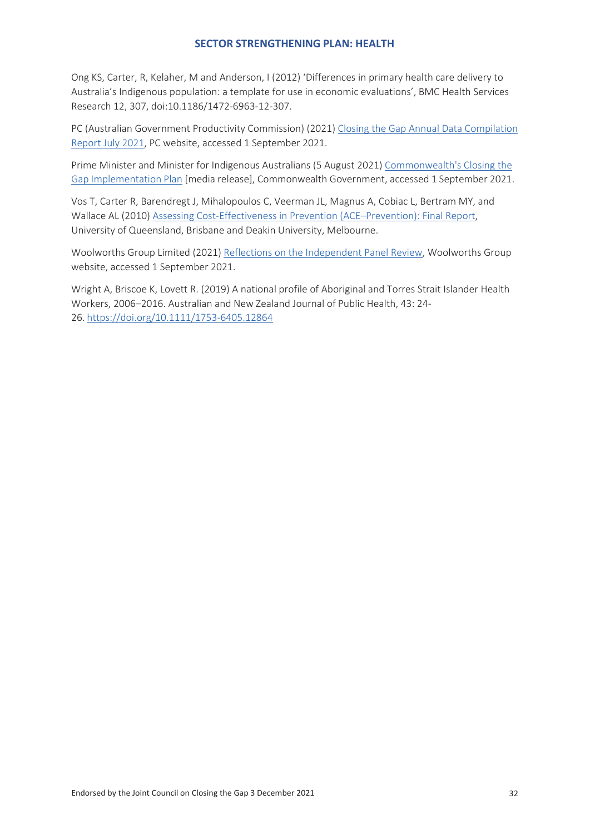Ong KS, Carter, R, Kelaher, M and Anderson, I (2012) 'Differences in primary health care delivery to Australia's Indigenous population: a template for use in economic evaluations', BMC Health Services Research 12, 307, doi:10.1186/1472-6963-12-307.

PC (Australian Government Productivity Commission) (2021) Closing the Gap Annual Data Compilation Report July 2021, PC website, accessed 1 September 2021.

Prime Minister and Minister for Indigenous Australians (5 August 2021) Commonwealth's Closing the Gap Implementation Plan [media release], Commonwealth Government, accessed 1 September 2021.

Vos T, Carter R, Barendregt J, Mihalopoulos C, Veerman JL, Magnus A, Cobiac L, Bertram MY, and Wallace AL (2010) Assessing Cost-Effectiveness in Prevention (ACE–Prevention): Final Report, University of Queensland, Brisbane and Deakin University, Melbourne.

Woolworths Group Limited (2021) Reflections on the Independent Panel Review, Woolworths Group website, accessed 1 September 2021.

Wright A, Briscoe K, Lovett R. (2019) A national profile of Aboriginal and Torres Strait Islander Health Workers, 2006–2016. Australian and New Zealand Journal of Public Health, 43: 24- 26. https://doi.org/10.1111/1753-6405.12864